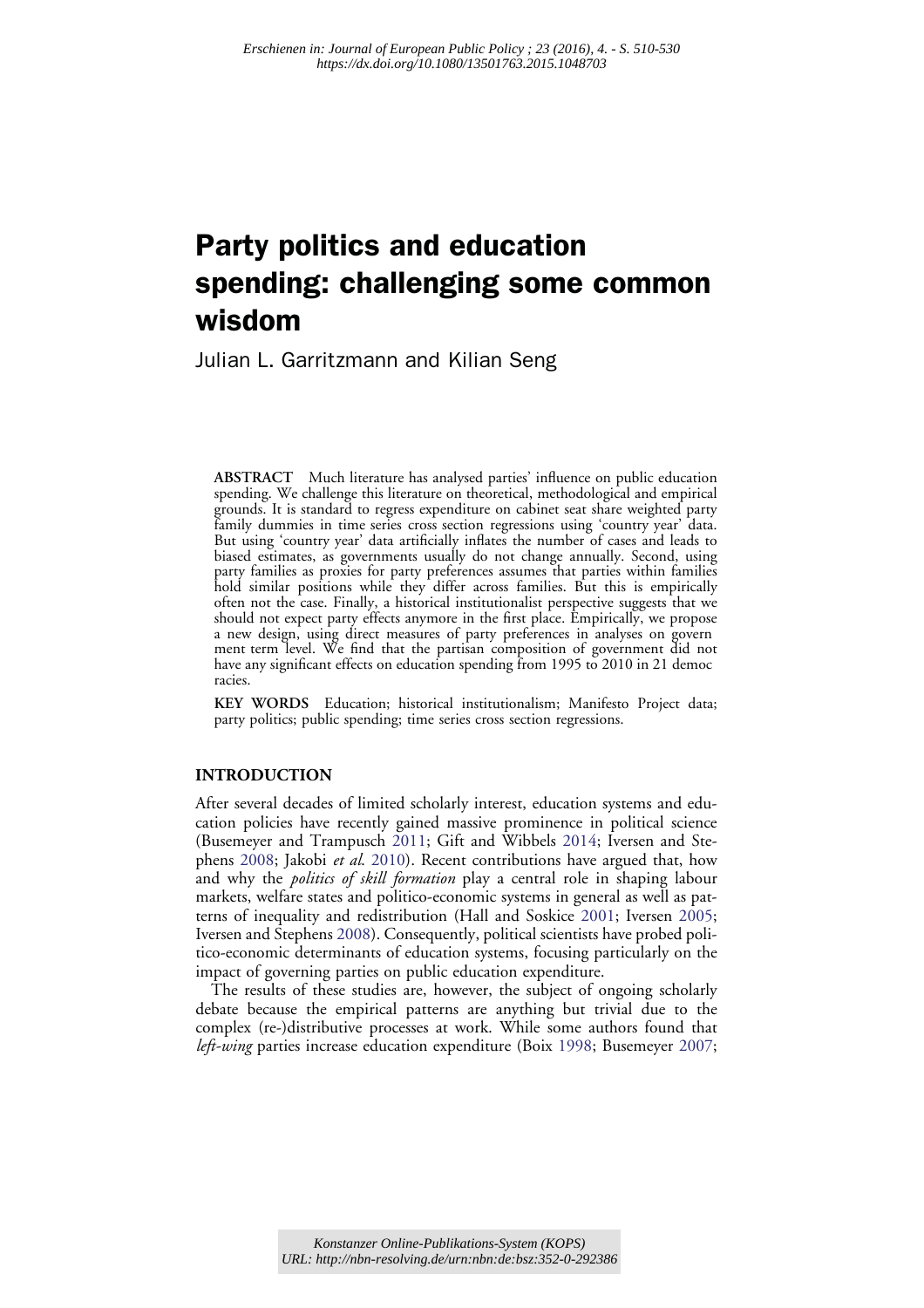# Party politics and education spending: challenging some common wisdom

Julian L. Garritzmann and Kilian Seng

ABSTRACT Much literature has analysed parties' influence on public education spending. We challenge this literature on theoretical, methodological and empirical grounds. It is standard to regress expenditure on cabinet seat share weighted party family dummies in time series cross section regressions using 'country year' data. But using 'country year' data artificially inflates the number of cases and leads to biased estimates, as governments usually do not change annually. Second, using party families as proxies for party preferences assumes that parties within families hold similar positions while they differ across families. But this is empirically often not the case. Finally, a historical institutionalist perspective suggests that we should not expect party effects anymore in the first place. Empirically, we propose a new design, using direct measures of party preferences in analyses on govern ment term level. We find that the partisan composition of government did not have any significant effects on education spending from 1995 to 2010 in 21 democ racies.

KEY WORDS Education; historical institutionalism; Manifesto Project data; party politics; public spending; time series cross section regressions.

# INTRODUCTION

After several decades of limited scholarly interest, education systems and education policies have recently gained massive prominence in political science (Busemeyer and Trampusch 2011; Gift and Wibbels 2014; Iversen and Stephens 2008; Jakobi et al. 2010). Recent contributions have argued that, how and why the *politics of skill formation* play a central role in shaping labour markets, welfare states and politico-economic systems in general as well as patterns of inequality and redistribution (Hall and Soskice 2001; Iversen 2005; Iversen and Stephens 2008). Consequently, political scientists have probed politico-economic determinants of education systems, focusing particularly on the impact of governing parties on public education expenditure.

The results of these studies are, however, the subject of ongoing scholarly debate because the empirical patterns are anything but trivial due to the complex (re-)distributive processes at work. While some authors found that left-wing parties increase education expenditure (Boix 1998; Busemeyer 2007;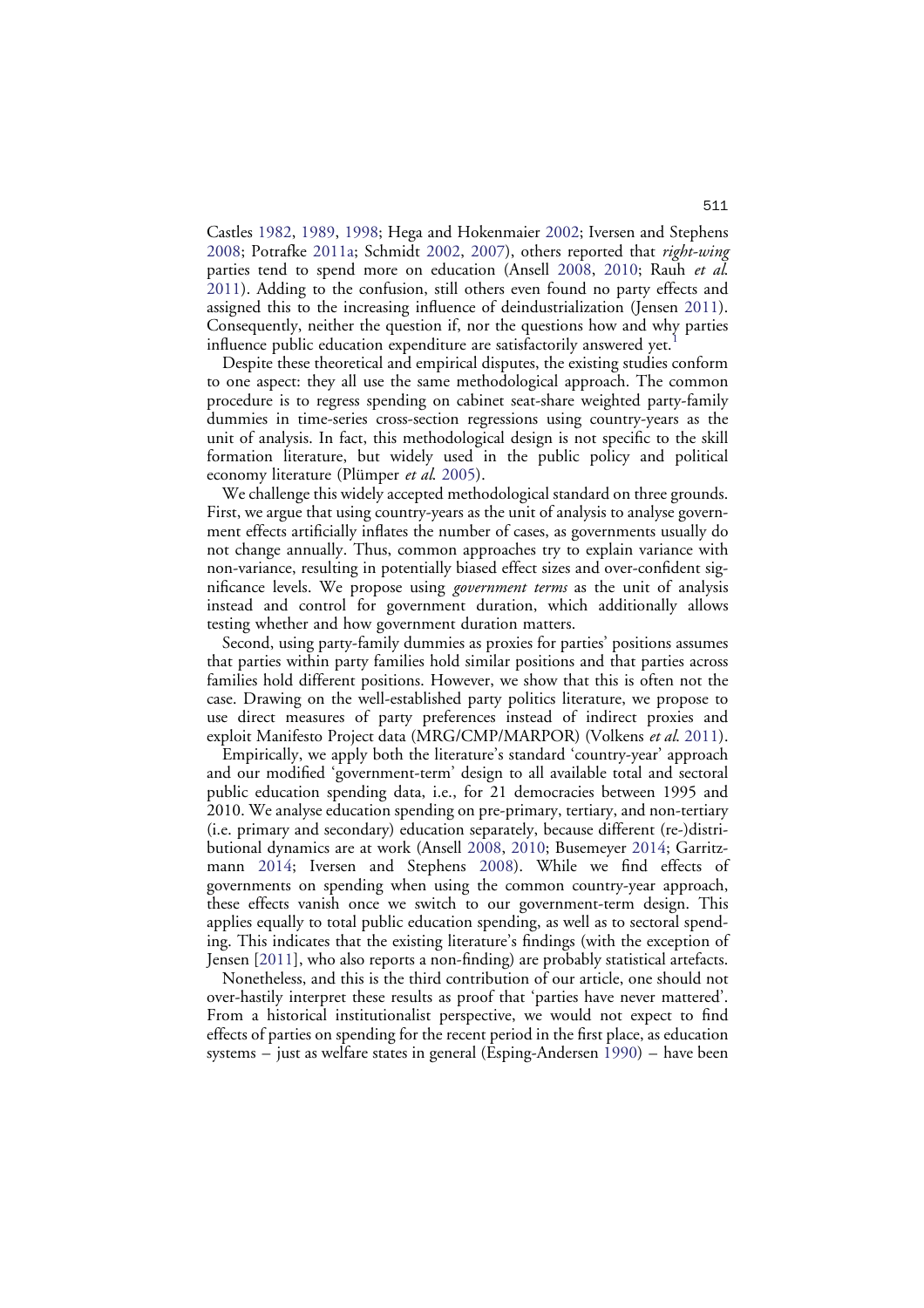Castles 1982, 1989, 1998; Hega and Hokenmaier 2002; Iversen and Stephens 2008; Potrafke 2011a; Schmidt 2002, 2007), others reported that right-wing parties tend to spend more on education (Ansell 2008, 2010; Rauh et al. 2011). Adding to the confusion, still others even found no party effects and assigned this to the increasing influence of deindustrialization (Jensen 2011). Consequently, neither the question if, nor the questions how and why parties influence public education expenditure are satisfactorily answered yet.

Despite these theoretical and empirical disputes, the existing studies conform to one aspect: they all use the same methodological approach. The common procedure is to regress spending on cabinet seat-share weighted party-family dummies in time-series cross-section regressions using country-years as the unit of analysis. In fact, this methodological design is not specific to the skill formation literature, but widely used in the public policy and political economy literature (Plümper et al. 2005).

We challenge this widely accepted methodological standard on three grounds. First, we argue that using country-years as the unit of analysis to analyse government effects artificially inflates the number of cases, as governments usually do not change annually. Thus, common approaches try to explain variance with non-variance, resulting in potentially biased effect sizes and over-confident significance levels. We propose using government terms as the unit of analysis instead and control for government duration, which additionally allows testing whether and how government duration matters.

Second, using party-family dummies as proxies for parties' positions assumes that parties within party families hold similar positions and that parties across families hold different positions. However, we show that this is often not the case. Drawing on the well-established party politics literature, we propose to use direct measures of party preferences instead of indirect proxies and exploit Manifesto Project data (MRG/CMP/MARPOR) (Volkens et al. 2011).

Empirically, we apply both the literature's standard 'country-year' approach and our modified 'government-term' design to all available total and sectoral public education spending data, i.e., for 21 democracies between 1995 and 2010. We analyse education spending on pre-primary, tertiary, and non-tertiary (i.e. primary and secondary) education separately, because different (re-)distributional dynamics are at work (Ansell 2008, 2010; Busemeyer 2014; Garritzmann 2014; Iversen and Stephens 2008). While we find effects of governments on spending when using the common country-year approach, these effects vanish once we switch to our government-term design. This applies equally to total public education spending, as well as to sectoral spending. This indicates that the existing literature's findings (with the exception of Jensen [2011], who also reports a non-finding) are probably statistical artefacts.

Nonetheless, and this is the third contribution of our article, one should not over-hastily interpret these results as proof that 'parties have never mattered'. From a historical institutionalist perspective, we would not expect to find effects of parties on spending for the recent period in the first place, as education systems – just as welfare states in general (Esping-Andersen 1990) – have been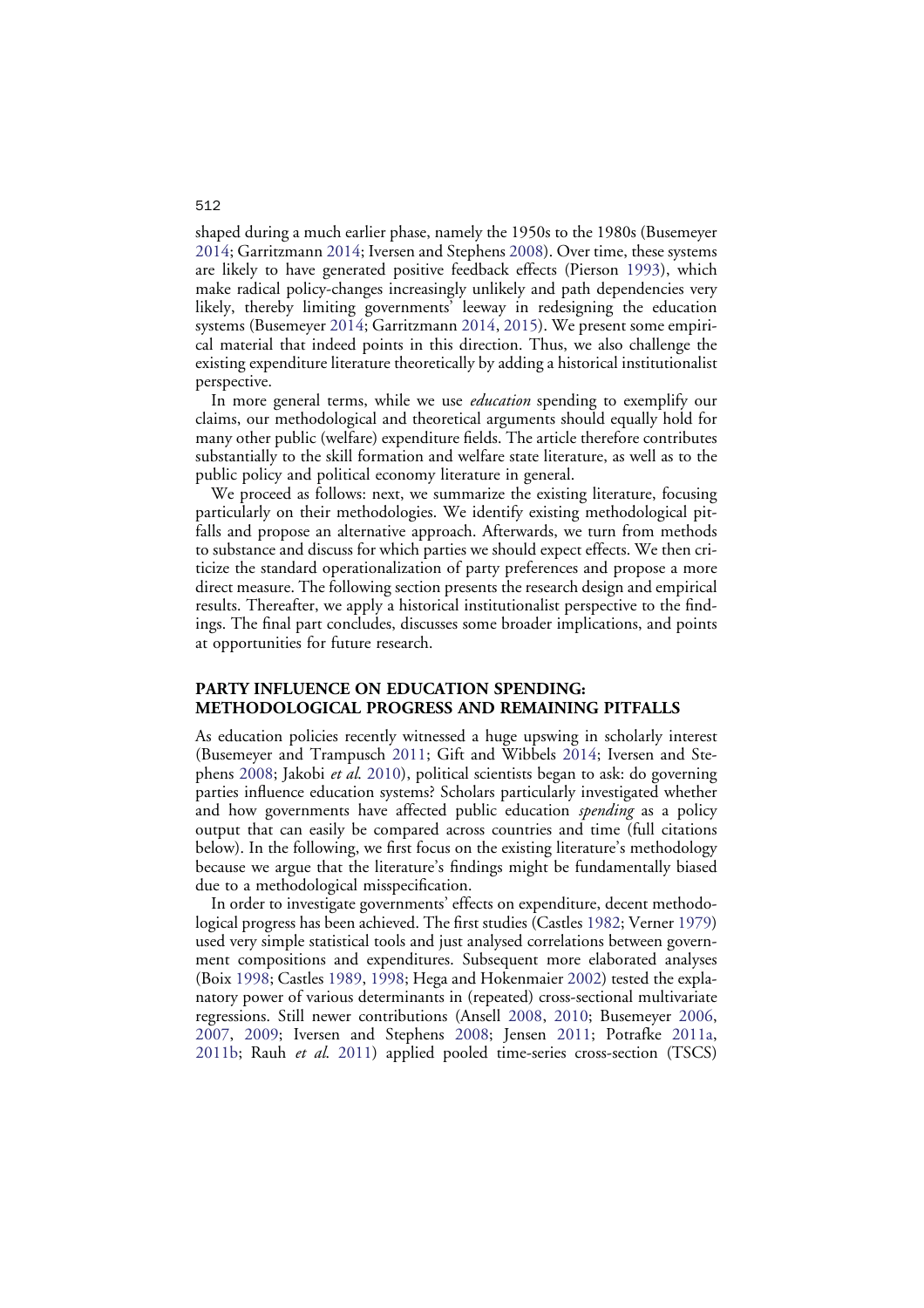shaped during a much earlier phase, namely the 1950s to the 1980s (Busemeyer 2014; Garritzmann 2014; Iversen and Stephens 2008). Over time, these systems are likely to have generated positive feedback effects (Pierson 1993), which make radical policy-changes increasingly unlikely and path dependencies very likely, thereby limiting governments' leeway in redesigning the education systems (Busemeyer 2014; Garritzmann 2014, 2015). We present some empirical material that indeed points in this direction. Thus, we also challenge the existing expenditure literature theoretically by adding a historical institutionalist perspective.

In more general terms, while we use *education* spending to exemplify our claims, our methodological and theoretical arguments should equally hold for many other public (welfare) expenditure fields. The article therefore contributes substantially to the skill formation and welfare state literature, as well as to the public policy and political economy literature in general.

We proceed as follows: next, we summarize the existing literature, focusing particularly on their methodologies. We identify existing methodological pitfalls and propose an alternative approach. Afterwards, we turn from methods to substance and discuss for which parties we should expect effects. We then criticize the standard operationalization of party preferences and propose a more direct measure. The following section presents the research design and empirical results. Thereafter, we apply a historical institutionalist perspective to the findings. The final part concludes, discusses some broader implications, and points at opportunities for future research.

## PARTY INFLUENCE ON EDUCATION SPENDING: METHODOLOGICAL PROGRESS AND REMAINING PITFALLS

As education policies recently witnessed a huge upswing in scholarly interest (Busemeyer and Trampusch 2011; Gift and Wibbels 2014; Iversen and Stephens 2008; Jakobi et al. 2010), political scientists began to ask: do governing parties influence education systems? Scholars particularly investigated whether and how governments have affected public education *spending* as a policy output that can easily be compared across countries and time (full citations below). In the following, we first focus on the existing literature's methodology because we argue that the literature's findings might be fundamentally biased due to a methodological misspecification.

In order to investigate governments' effects on expenditure, decent methodological progress has been achieved. The first studies (Castles 1982; Verner 1979) used very simple statistical tools and just analysed correlations between government compositions and expenditures. Subsequent more elaborated analyses (Boix 1998; Castles 1989, 1998; Hega and Hokenmaier 2002) tested the explanatory power of various determinants in (repeated) cross-sectional multivariate regressions. Still newer contributions (Ansell 2008, 2010; Busemeyer 2006, 2007, 2009; Iversen and Stephens 2008; Jensen 2011; Potrafke 2011a, 2011b; Rauh et al. 2011) applied pooled time-series cross-section (TSCS)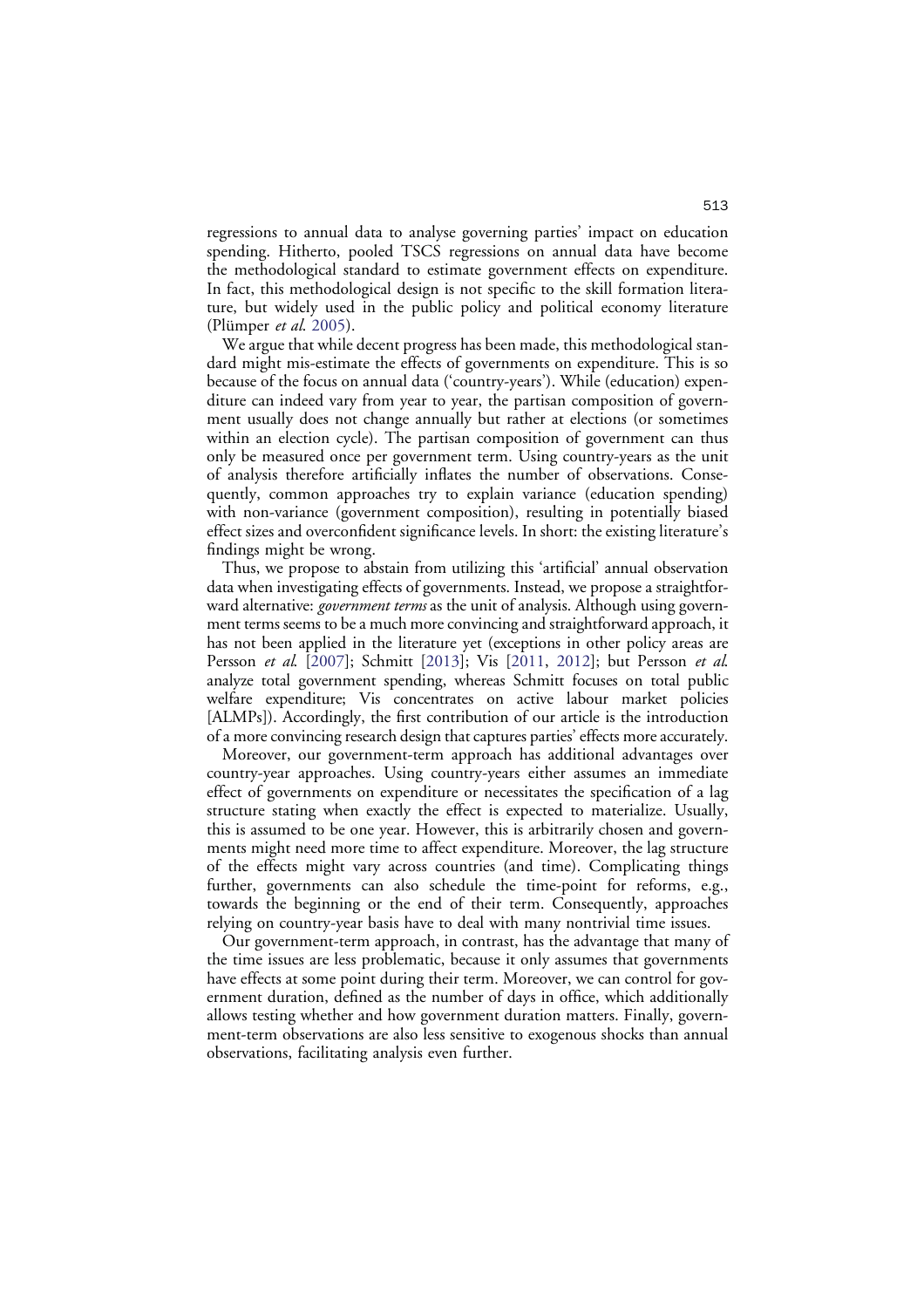regressions to annual data to analyse governing parties' impact on education spending. Hitherto, pooled TSCS regressions on annual data have become the methodological standard to estimate government effects on expenditure. In fact, this methodological design is not specific to the skill formation literature, but widely used in the public policy and political economy literature (Plümper *et al.* 2005).

We argue that while decent progress has been made, this methodological standard might mis-estimate the effects of governments on expenditure. This is so because of the focus on annual data ('country-years'). While (education) expenditure can indeed vary from year to year, the partisan composition of government usually does not change annually but rather at elections (or sometimes within an election cycle). The partisan composition of government can thus only be measured once per government term. Using country-years as the unit of analysis therefore artificially inflates the number of observations. Consequently, common approaches try to explain variance (education spending) with non-variance (government composition), resulting in potentially biased effect sizes and overconfident significance levels. In short: the existing literature's findings might be wrong.

Thus, we propose to abstain from utilizing this 'artificial' annual observation data when investigating effects of governments. Instead, we propose a straightforward alternative: *government terms* as the unit of analysis. Although using government terms seems to be a much more convincing and straightforward approach, it has not been applied in the literature yet (exceptions in other policy areas are Persson et al. [2007]; Schmitt [2013]; Vis [2011, 2012]; but Persson et al. analyze total government spending, whereas Schmitt focuses on total public welfare expenditure; Vis concentrates on active labour market policies [ALMPs]). Accordingly, the first contribution of our article is the introduction of a more convincing research design that captures parties' effects more accurately.

Moreover, our government-term approach has additional advantages over country-year approaches. Using country-years either assumes an immediate effect of governments on expenditure or necessitates the specification of a lag structure stating when exactly the effect is expected to materialize. Usually, this is assumed to be one year. However, this is arbitrarily chosen and governments might need more time to affect expenditure. Moreover, the lag structure of the effects might vary across countries (and time). Complicating things further, governments can also schedule the time-point for reforms, e.g., towards the beginning or the end of their term. Consequently, approaches relying on country-year basis have to deal with many nontrivial time issues.

Our government-term approach, in contrast, has the advantage that many of the time issues are less problematic, because it only assumes that governments have effects at some point during their term. Moreover, we can control for government duration, defined as the number of days in office, which additionally allows testing whether and how government duration matters. Finally, government-term observations are also less sensitive to exogenous shocks than annual observations, facilitating analysis even further.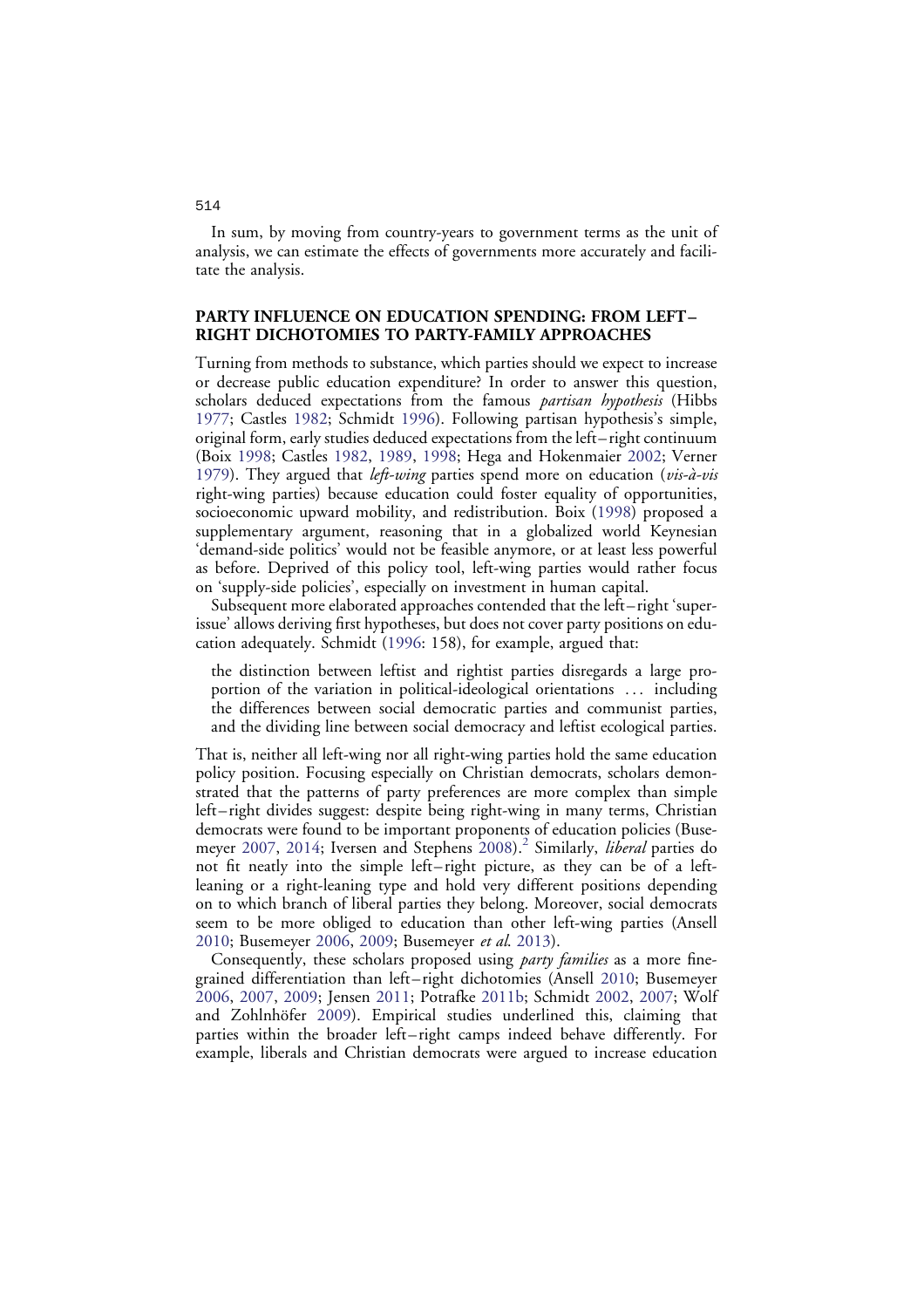In sum, by moving from country-years to government terms as the unit of analysis, we can estimate the effects of governments more accurately and facilitate the analysis.

# PARTY INFLUENCE ON EDUCATION SPENDING: FROM LEFT-RIGHT DICHOTOMIES TO PARTY-FAMILY APPROACHES

Turning from methods to substance, which parties should we expect to increase or decrease public education expenditure? In order to answer this question, scholars deduced expectations from the famous *partisan hypothesis* (Hibbs 1977; Castles 1982; Schmidt 1996). Following partisan hypothesis's simple, original form, early studies deduced expectations from the left – right continuum (Boix 1998; Castles 1982, 1989, 1998; Hega and Hokenmaier 2002; Verner 1979). They argued that *left-wing* parties spend more on education (vis-à-vis right-wing parties) because education could foster equality of opportunities, socioeconomic upward mobility, and redistribution. Boix (1998) proposed a supplementary argument, reasoning that in a globalized world Keynesian 'demand-side politics' would not be feasible anymore, or at least less powerful as before. Deprived of this policy tool, left-wing parties would rather focus on 'supply-side policies', especially on investment in human capital.

Subsequent more elaborated approaches contended that the left-right 'superissue' allows deriving first hypotheses, but does not cover party positions on education adequately. Schmidt (1996: 158), for example, argued that:

the distinction between leftist and rightist parties disregards a large proportion of the variation in political-ideological orientations ... including the differences between social democratic parties and communist parties, and the dividing line between social democracy and leftist ecological parties.

That is, neither all left-wing nor all right-wing parties hold the same education policy position. Focusing especially on Christian democrats, scholars demonstrated that the patterns of party preferences are more complex than simple left – right divides suggest: despite being right-wing in many terms, Christian democrats were found to be important proponents of education policies (Busemeyer 2007, 2014; Iversen and Stephens 2008).<sup>2</sup> Similarly, *liberal* parties do not fit neatly into the simple left-right picture, as they can be of a leftleaning or a right-leaning type and hold very different positions depending on to which branch of liberal parties they belong. Moreover, social democrats seem to be more obliged to education than other left-wing parties (Ansell 2010; Busemeyer 2006, 2009; Busemeyer et al. 2013).

Consequently, these scholars proposed using *party families* as a more finegrained differentiation than left – right dichotomies (Ansell 2010; Busemeyer 2006, 2007, 2009; Jensen 2011; Potrafke 2011b; Schmidt 2002, 2007; Wolf and Zohlnhöfer 2009). Empirical studies underlined this, claiming that parties within the broader left – right camps indeed behave differently. For example, liberals and Christian democrats were argued to increase education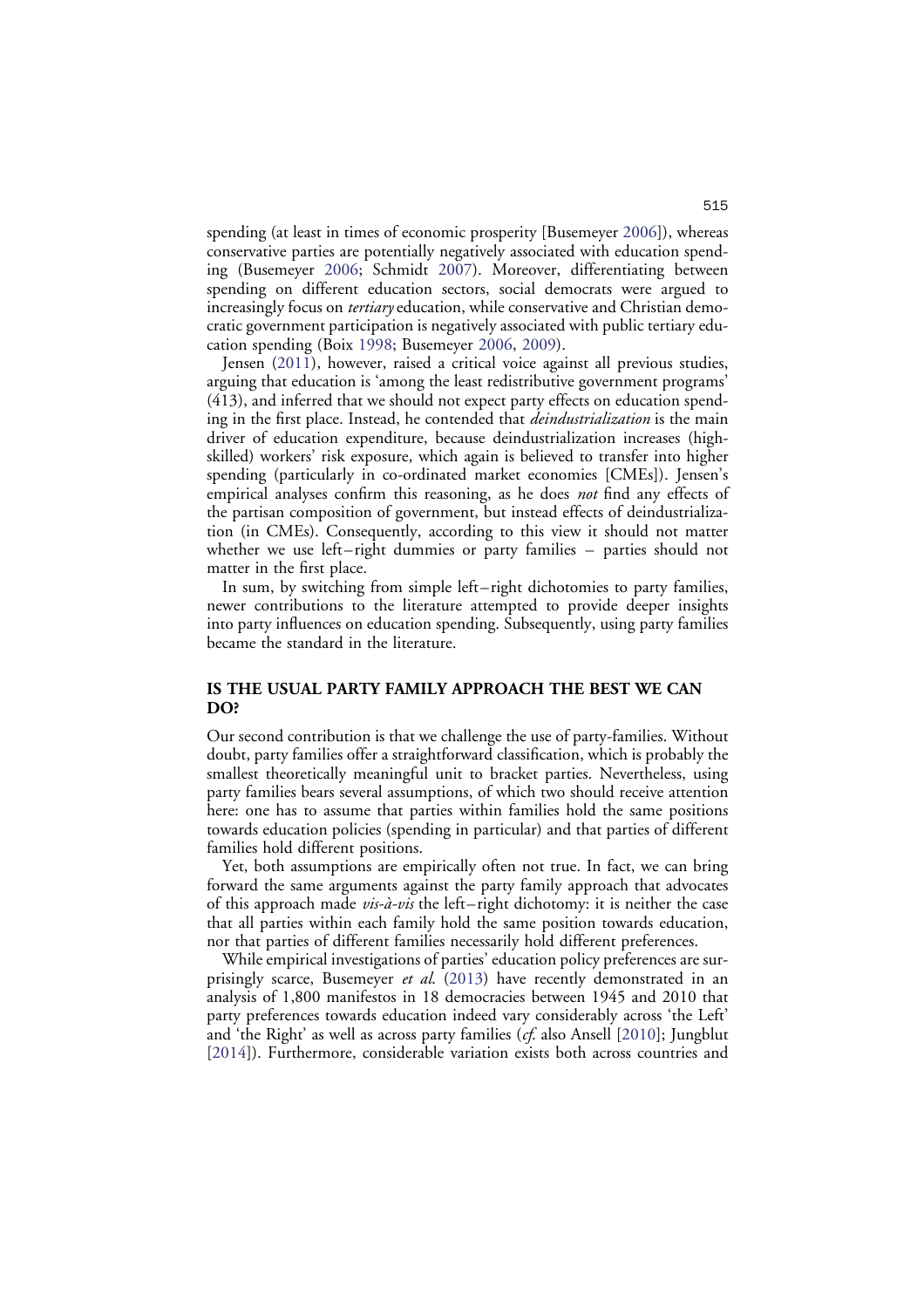spending (at least in times of economic prosperity [Busemeyer 2006]), whereas conservative parties are potentially negatively associated with education spending (Busemeyer 2006; Schmidt 2007). Moreover, differentiating between spending on different education sectors, social democrats were argued to increasingly focus on *tertiary* education, while conservative and Christian democratic government participation is negatively associated with public tertiary education spending (Boix 1998; Busemeyer 2006, 2009).

Jensen (2011), however, raised a critical voice against all previous studies, arguing that education is 'among the least redistributive government programs' (413), and inferred that we should not expect party effects on education spending in the first place. Instead, he contended that *deindustrialization* is the main driver of education expenditure, because deindustrialization increases (highskilled) workers' risk exposure, which again is believed to transfer into higher spending (particularly in co-ordinated market economies [CMEs]). Jensen's empirical analyses confirm this reasoning, as he does *not* find any effects of the partisan composition of government, but instead effects of deindustrialization (in CMEs). Consequently, according to this view it should not matter whether we use left-right dummies or party families - parties should not matter in the first place.

In sum, by switching from simple left-right dichotomies to party families, newer contributions to the literature attempted to provide deeper insights into party influences on education spending. Subsequently, using party families became the standard in the literature.

## IS THE USUAL PARTY FAMILY APPROACH THE BEST WE CAN DO?

Our second contribution is that we challenge the use of party-families. Without doubt, party families offer a straightforward classification, which is probably the smallest theoretically meaningful unit to bracket parties. Nevertheless, using party families bears several assumptions, of which two should receive attention here: one has to assume that parties within families hold the same positions towards education policies (spending in particular) and that parties of different families hold different positions.

Yet, both assumptions are empirically often not true. In fact, we can bring forward the same arguments against the party family approach that advocates of this approach made  $vis-\hat{a}-vis$  the left-right dichotomy: it is neither the case that all parties within each family hold the same position towards education, nor that parties of different families necessarily hold different preferences.

While empirical investigations of parties' education policy preferences are surprisingly scarce, Busemeyer *et al.*  $(2013)$  have recently demonstrated in an analysis of 1,800 manifestos in 18 democracies between 1945 and 2010 that party preferences towards education indeed vary considerably across 'the Left' and 'the Right' as well as across party families (cf. also Ansell [2010]; Jungblut [2014]). Furthermore, considerable variation exists both across countries and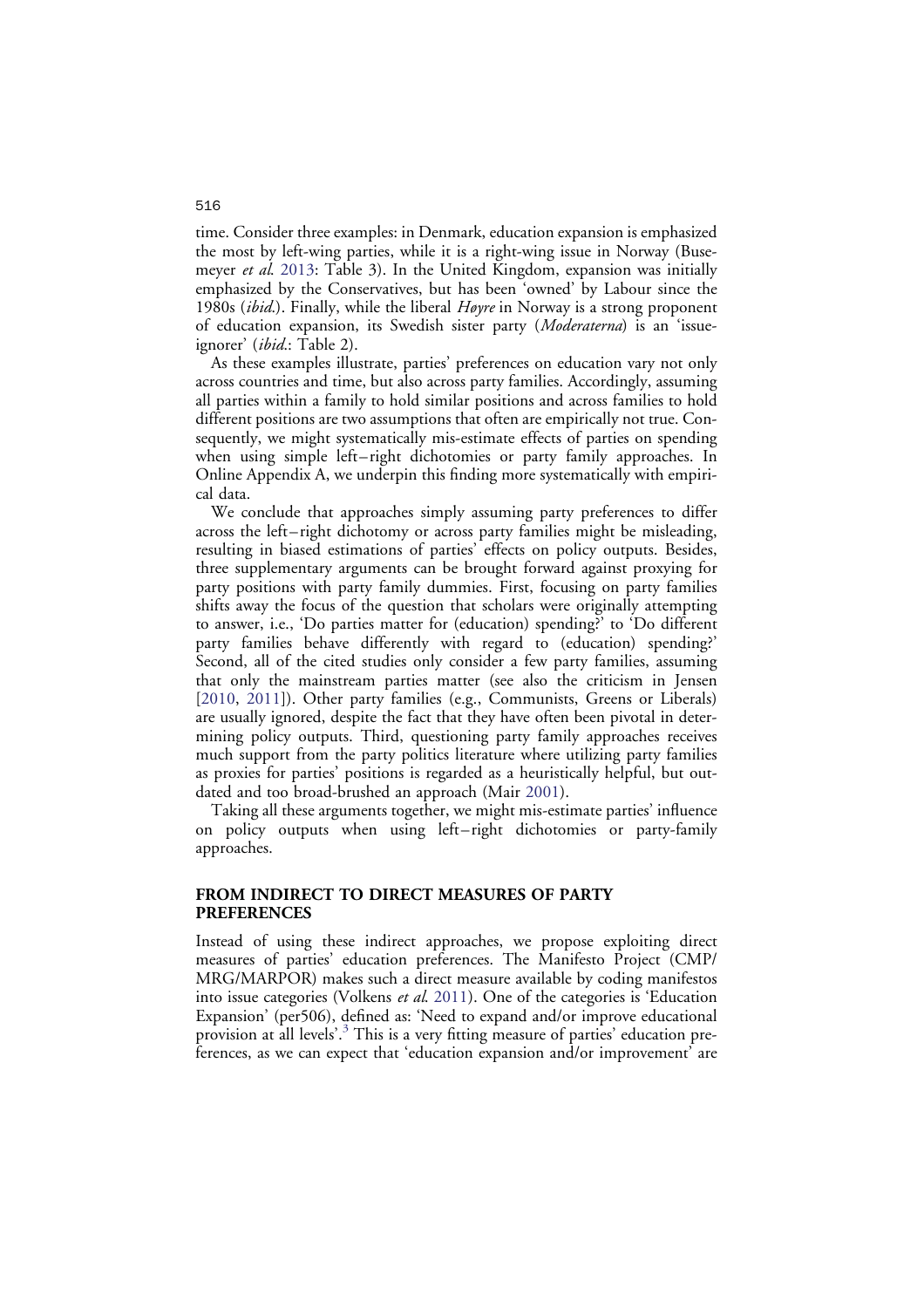time. Consider three examples: in Denmark, education expansion is emphasized the most by left-wing parties, while it is a right-wing issue in Norway (Busemeyer *et al.* 2013: Table 3). In the United Kingdom, expansion was initially emphasized by the Conservatives, but has been 'owned' by Labour since the 1980s *(ibid.)*. Finally, while the liberal  $H\varphi\gamma e$  in Norway is a strong proponent of education expansion, its Swedish sister party (Moderaterna) is an 'issueignorer' (ibid.: Table 2).

As these examples illustrate, parties' preferences on education vary not only across countries and time, but also across party families. Accordingly, assuming all parties within a family to hold similar positions and across families to hold different positions are two assumptions that often are empirically not true. Consequently, we might systematically mis-estimate effects of parties on spending when using simple left– right dichotomies or party family approaches. In Online Appendix A, we underpin this finding more systematically with empirical data.

We conclude that approaches simply assuming party preferences to differ across the left – right dichotomy or across party families might be misleading, resulting in biased estimations of parties' effects on policy outputs. Besides, three supplementary arguments can be brought forward against proxying for party positions with party family dummies. First, focusing on party families shifts away the focus of the question that scholars were originally attempting to answer, i.e., 'Do parties matter for (education) spending?' to 'Do different party families behave differently with regard to (education) spending?' Second, all of the cited studies only consider a few party families, assuming that only the mainstream parties matter (see also the criticism in Jensen [2010, 2011]). Other party families (e.g., Communists, Greens or Liberals) are usually ignored, despite the fact that they have often been pivotal in determining policy outputs. Third, questioning party family approaches receives much support from the party politics literature where utilizing party families as proxies for parties' positions is regarded as a heuristically helpful, but outdated and too broad-brushed an approach (Mair 2001).

Taking all these arguments together, we might mis-estimate parties' influence on policy outputs when using left – right dichotomies or party-family approaches.

## FROM INDIRECT TO DIRECT MEASURES OF PARTY PREFERENCES

Instead of using these indirect approaches, we propose exploiting direct measures of parties' education preferences. The Manifesto Project (CMP/ MRG/MARPOR) makes such a direct measure available by coding manifestos into issue categories (Volkens et al. 2011). One of the categories is 'Education Expansion' (per506), defined as: 'Need to expand and/or improve educational provision at all levels'.<sup>3</sup> This is a very fitting measure of parties' education preferences, as we can expect that 'education expansion and/or improvement' are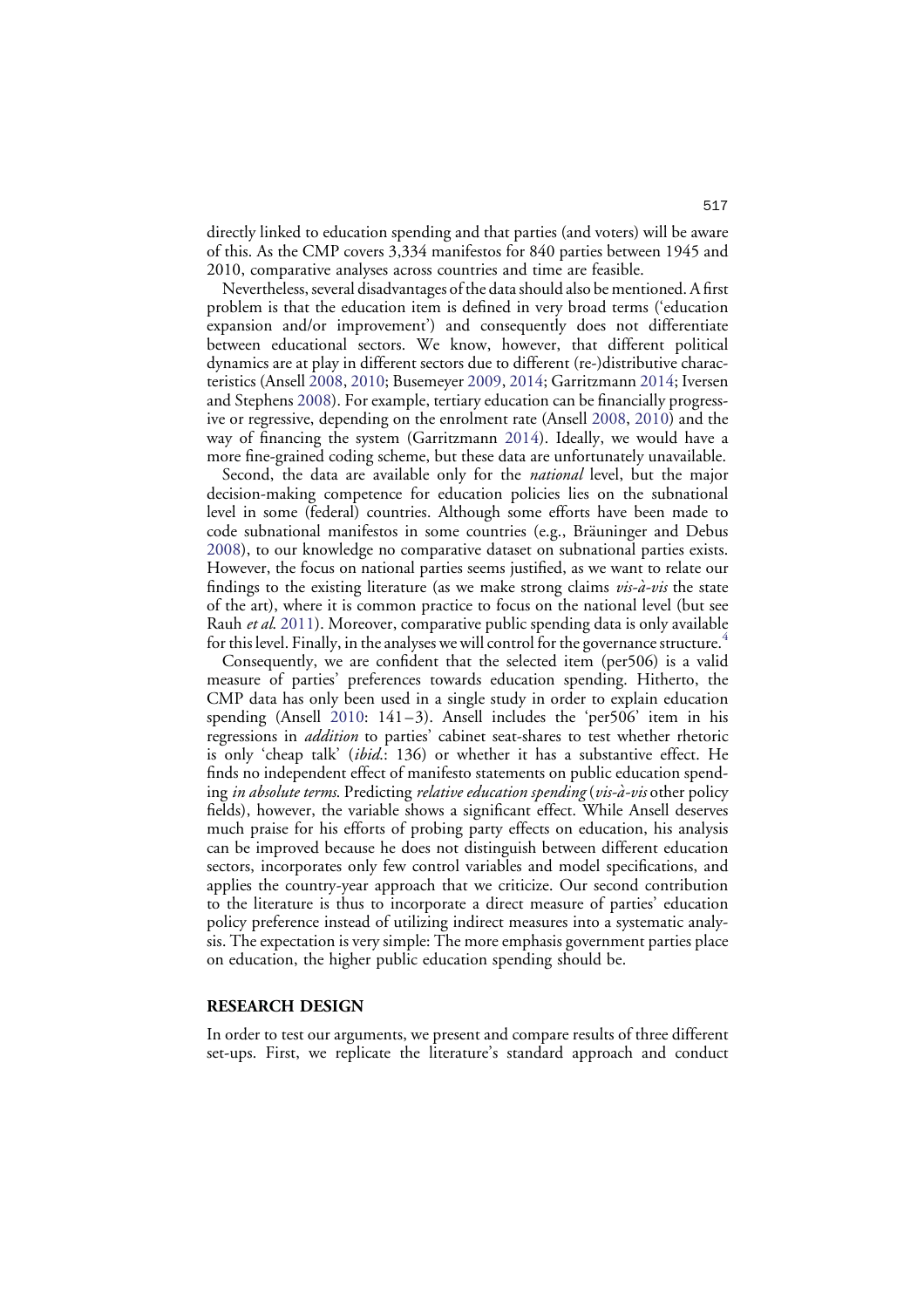directly linked to education spending and that parties (and voters) will be aware of this. As the CMP covers 3,334 manifestos for 840 parties between 1945 and 2010, comparative analyses across countries and time are feasible.

Nevertheless, several disadvantages of the data should also be mentioned. A first problem is that the education item is defined in very broad terms ('education expansion and/or improvement') and consequently does not differentiate between educational sectors. We know, however, that different political dynamics are at play in different sectors due to different (re-)distributive characteristics (Ansell 2008, 2010; Busemeyer 2009, 2014; Garritzmann 2014; Iversen and Stephens 2008). For example, tertiary education can be financially progressive or regressive, depending on the enrolment rate (Ansell 2008, 2010) and the way of financing the system (Garritzmann 2014). Ideally, we would have a more fine-grained coding scheme, but these data are unfortunately unavailable.

Second, the data are available only for the *national* level, but the major decision-making competence for education policies lies on the subnational level in some (federal) countries. Although some efforts have been made to code subnational manifestos in some countries (e.g., Bräuninger and Debus 2008), to our knowledge no comparative dataset on subnational parties exists. However, the focus on national parties seems justified, as we want to relate our findings to the existing literature (as we make strong claims  $vis-\hat{a}-vis$  the state of the art), where it is common practice to focus on the national level (but see Rauh et al. 2011). Moreover, comparative public spending data is only available for this level. Finally, in the analyses we will control for the governance structure.<sup>4</sup>

Consequently, we are confident that the selected item (per506) is a valid measure of parties' preferences towards education spending. Hitherto, the CMP data has only been used in a single study in order to explain education spending (Ansell 2010:  $141-3$ ). Ansell includes the 'per506' item in his regressions in addition to parties' cabinet seat-shares to test whether rhetoric is only 'cheap talk' (ibid.: 136) or whether it has a substantive effect. He finds no independent effect of manifesto statements on public education spending in absolute terms. Predicting relative education spending (vis- $\hat{a}$ -vis other policy fields), however, the variable shows a significant effect. While Ansell deserves much praise for his efforts of probing party effects on education, his analysis can be improved because he does not distinguish between different education sectors, incorporates only few control variables and model specifications, and applies the country-year approach that we criticize. Our second contribution to the literature is thus to incorporate a direct measure of parties' education policy preference instead of utilizing indirect measures into a systematic analysis. The expectation is very simple: The more emphasis government parties place on education, the higher public education spending should be.

#### RESEARCH DESIGN

In order to test our arguments, we present and compare results of three different set-ups. First, we replicate the literature's standard approach and conduct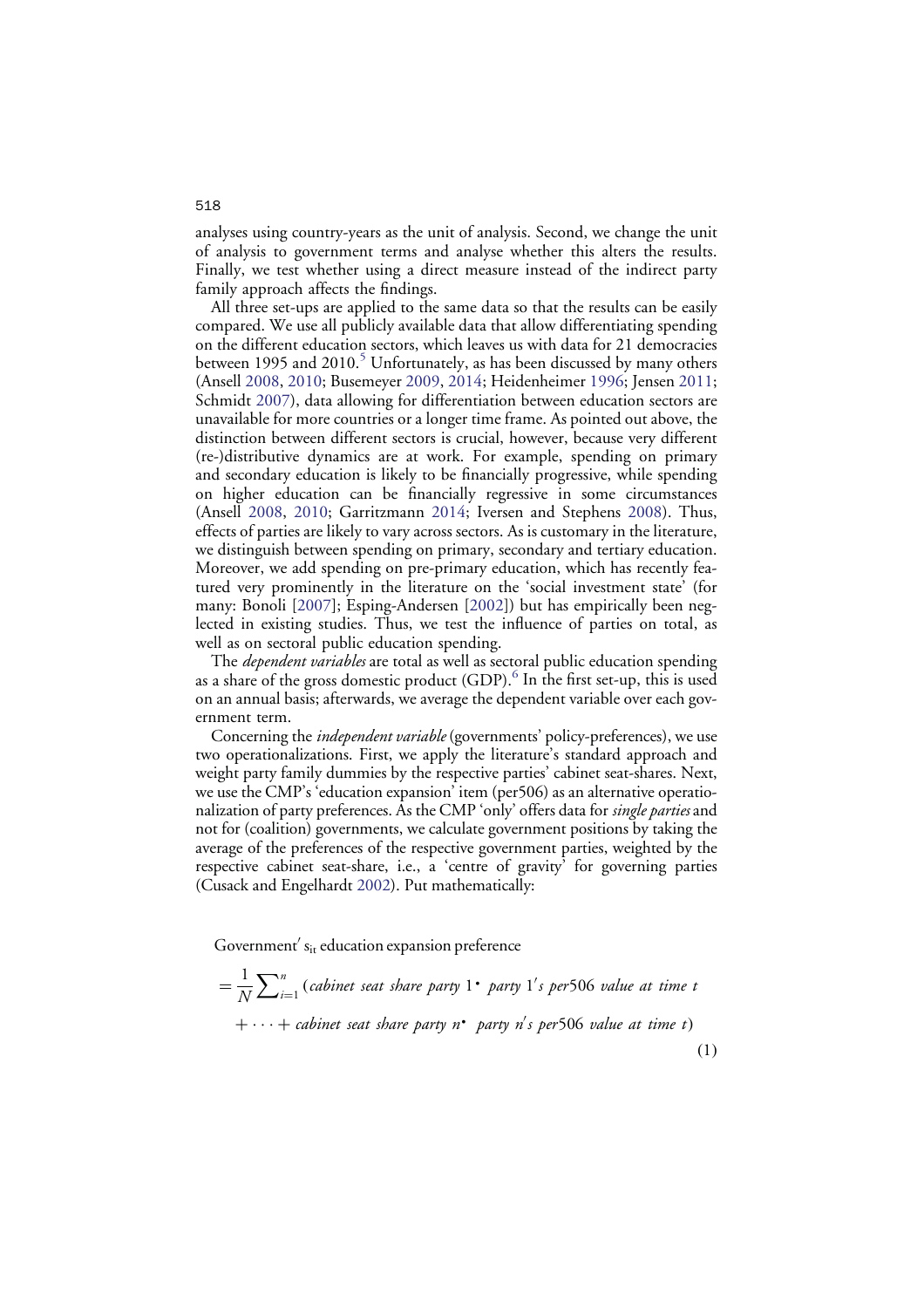analyses using country-years as the unit of analysis. Second, we change the unit of analysis to government terms and analyse whether this alters the results. Finally, we test whether using a direct measure instead of the indirect party family approach affects the findings.

All three set-ups are applied to the same data so that the results can be easily compared. We use all publicly available data that allow differentiating spending on the different education sectors, which leaves us with data for 21 democracies between 1995 and 2010.<sup>5</sup> Unfortunately, as has been discussed by many others (Ansell 2008, 2010; Busemeyer 2009, 2014; Heidenheimer 1996; Jensen 2011; Schmidt 2007), data allowing for differentiation between education sectors are unavailable for more countries or a longer time frame. As pointed out above, the distinction between different sectors is crucial, however, because very different (re-)distributive dynamics are at work. For example, spending on primary and secondary education is likely to be financially progressive, while spending on higher education can be financially regressive in some circumstances (Ansell 2008, 2010; Garritzmann 2014; Iversen and Stephens 2008). Thus, effects of parties are likely to vary across sectors. As is customary in the literature, we distinguish between spending on primary, secondary and tertiary education. Moreover, we add spending on pre-primary education, which has recently featured very prominently in the literature on the 'social investment state' (for many: Bonoli [2007]; Esping-Andersen [2002]) but has empirically been neglected in existing studies. Thus, we test the influence of parties on total, as well as on sectoral public education spending.

The *dependent variables* are total as well as sectoral public education spending as a share of the gross domestic product  $(GDP)$ .<sup>6</sup> In the first set-up, this is used on an annual basis; afterwards, we average the dependent variable over each government term.

Concerning the independent variable (governments' policy-preferences), we use two operationalizations. First, we apply the literature's standard approach and weight party family dummies by the respective parties' cabinet seat-shares. Next, we use the CMP's 'education expansion' item (per506) as an alternative operationalization of party preferences. As the CMP 'only' offers data for *single parties* and not for (coalition) governments, we calculate government positions by taking the average of the preferences of the respective government parties, weighted by the respective cabinet seat-share, i.e., a 'centre of gravity' for governing parties (Cusack and Engelhardt 2002). Put mathematically:

Government' s<sub>it</sub> education expansion preference

$$
= \frac{1}{N} \sum_{i=1}^{n} (cabinet\ seat\ share\ party\ 1 \cdot party\ 1's\ per506\ value\ at\ time\ t
$$

$$
+\cdots+ \text{cabinet seat share party } n^\bullet \text{ party } n's \text{ per} 506 \text{ value at time } t)
$$

(1)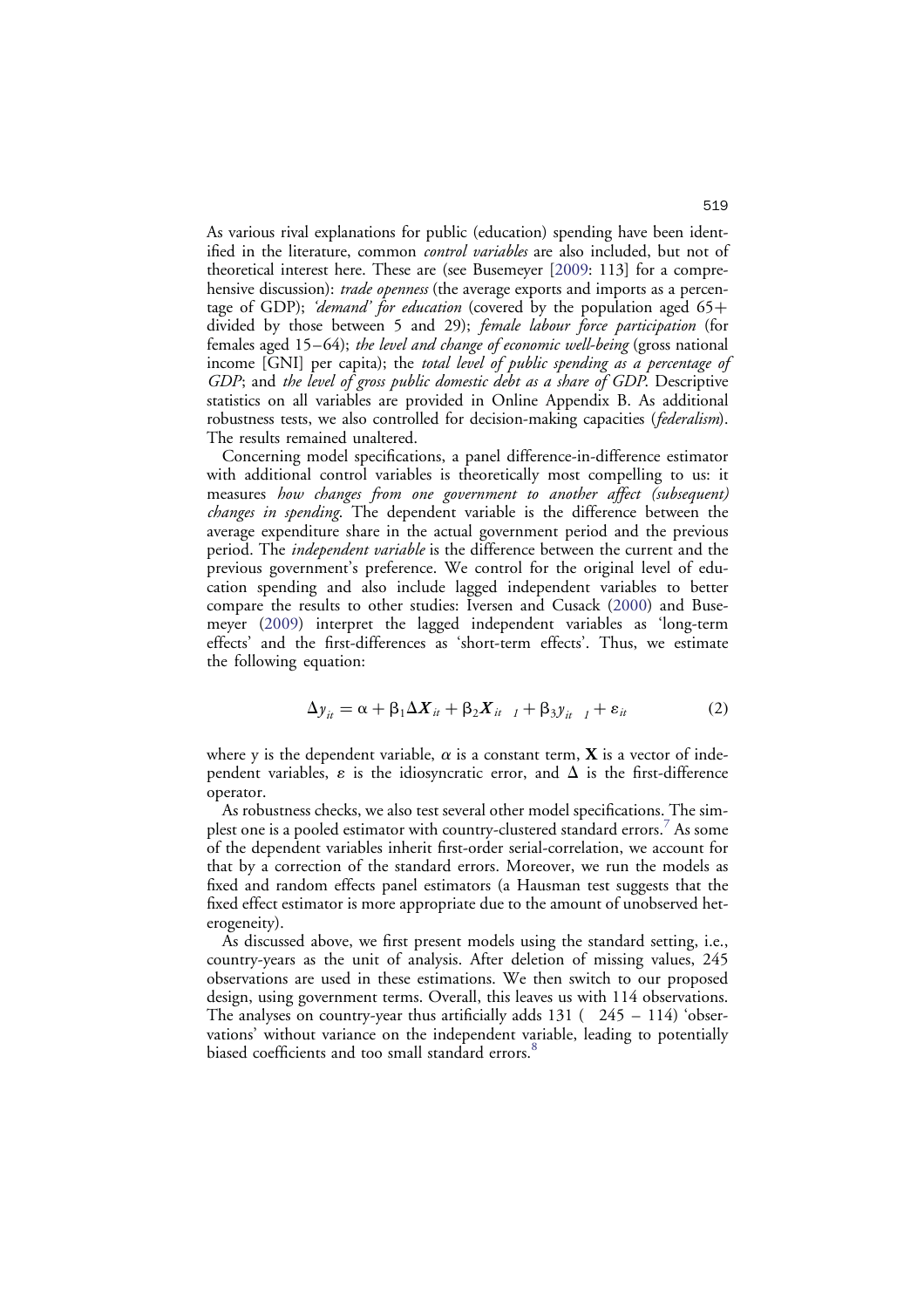As various rival explanations for public (education) spending have been identified in the literature, common *control variables* are also included, but not of theoretical interest here. These are (see Busemeyer [2009: 113] for a comprehensive discussion): *trade openness* (the average exports and imports as a percentage of GDP); 'demand' for education (covered by the population aged  $65+$ divided by those between 5 and 29); female labour force participation (for females aged 15–64); the level and change of economic well-being (gross national income [GNI] per capita); the total level of public spending as a percentage of GDP; and the level of gross public domestic debt as a share of GDP. Descriptive statistics on all variables are provided in Online Appendix B. As additional robustness tests, we also controlled for decision-making capacities (federalism). The results remained unaltered.

Concerning model specifications, a panel difference-in-difference estimator with additional control variables is theoretically most compelling to us: it measures how changes from one government to another affect (subsequent) changes in spending. The dependent variable is the difference between the average expenditure share in the actual government period and the previous period. The independent variable is the difference between the current and the previous government's preference. We control for the original level of education spending and also include lagged independent variables to better compare the results to other studies: Iversen and Cusack (2000) and Busemeyer (2009) interpret the lagged independent variables as 'long-term effects' and the first-differences as 'short-term effects'. Thus, we estimate the following equation:

$$
\Delta y_{it} = \alpha + \beta_1 \Delta X_{it} + \beta_2 X_{it} \quad t + \beta_3 y_{it} \quad t + \varepsilon_{it} \tag{2}
$$

where y is the dependent variable,  $\alpha$  is a constant term, **X** is a vector of independent variables,  $\varepsilon$  is the idiosyncratic error, and  $\Delta$  is the first-difference operator.

As robustness checks, we also test several other model specifications. The simplest one is a pooled estimator with country-clustered standard errors.<sup>7</sup> As some of the dependent variables inherit first-order serial-correlation, we account for that by a correction of the standard errors. Moreover, we run the models as fixed and random effects panel estimators (a Hausman test suggests that the fixed effect estimator is more appropriate due to the amount of unobserved heterogeneity).

As discussed above, we first present models using the standard setting, i.e., country-years as the unit of analysis. After deletion of missing values, 245 observations are used in these estimations. We then switch to our proposed design, using government terms. Overall, this leaves us with 114 observations. The analyses on country-year thus artificially adds  $131$  (  $245 - 114$ ) 'observations' without variance on the independent variable, leading to potentially biased coefficients and too small standard errors.<sup>8</sup>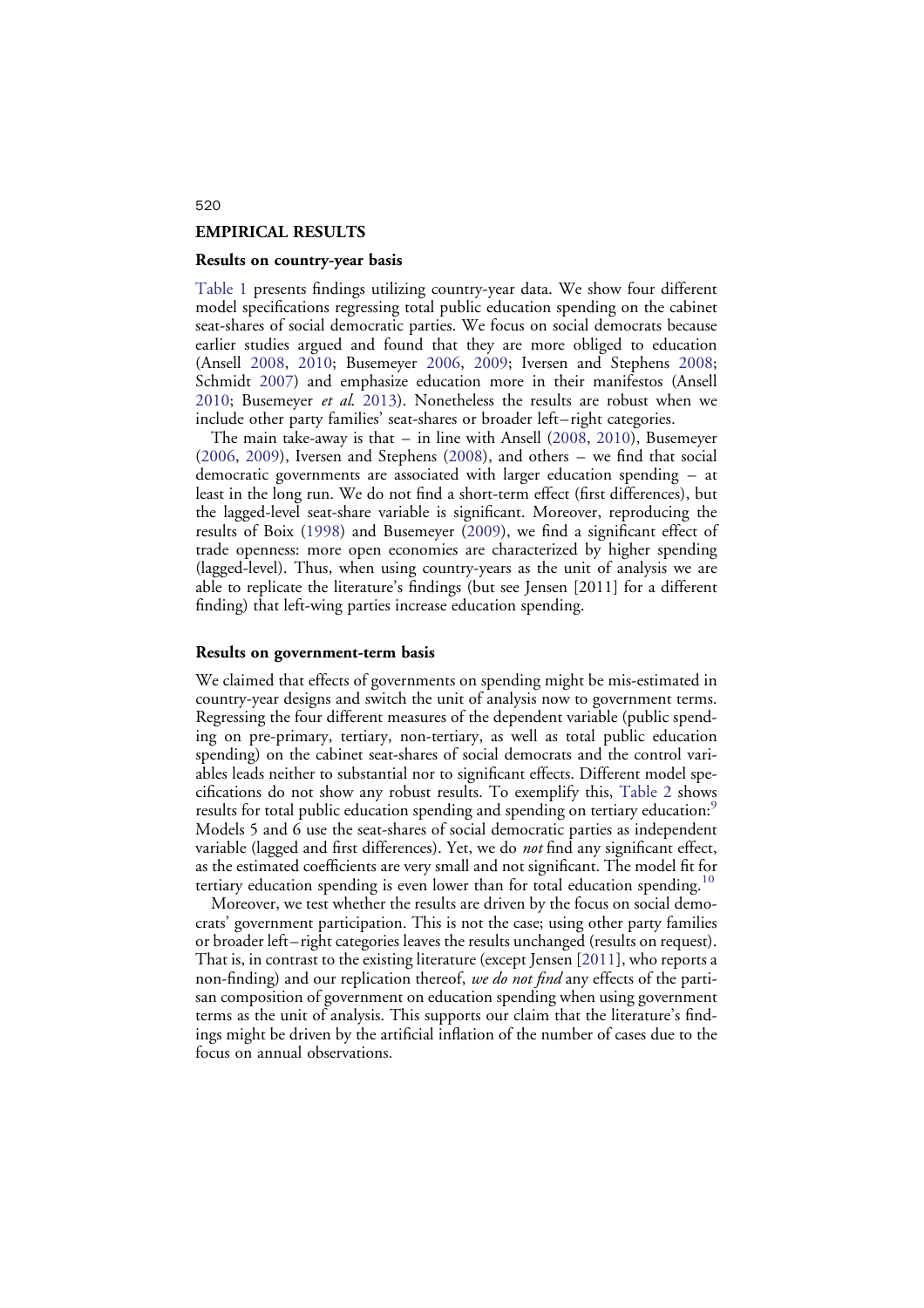## EMPIRICAL RESULTS

#### Results on country-year basis

Table 1 presents findings utilizing country-year data. We show four different model specifications regressing total public education spending on the cabinet seat-shares of social democratic parties. We focus on social democrats because earlier studies argued and found that they are more obliged to education (Ansell 2008, 2010; Busemeyer 2006, 2009; Iversen and Stephens 2008; Schmidt 2007) and emphasize education more in their manifestos (Ansell 2010; Busemeyer *et al.* 2013). Nonetheless the results are robust when we include other party families' seat-shares or broader left – right categories.

The main take-away is that – in line with Ansell (2008, 2010), Busemeyer (2006, 2009), Iversen and Stephens (2008), and others – we find that social democratic governments are associated with larger education spending – at least in the long run. We do not find a short-term effect (first differences), but the lagged-level seat-share variable is significant. Moreover, reproducing the results of Boix (1998) and Busemeyer (2009), we find a significant effect of trade openness: more open economies are characterized by higher spending (lagged-level). Thus, when using country-years as the unit of analysis we are able to replicate the literature's findings (but see Jensen [2011] for a different finding) that left-wing parties increase education spending.

#### Results on government-term basis

We claimed that effects of governments on spending might be mis-estimated in country-year designs and switch the unit of analysis now to government terms. Regressing the four different measures of the dependent variable (public spending on pre-primary, tertiary, non-tertiary, as well as total public education spending) on the cabinet seat-shares of social democrats and the control variables leads neither to substantial nor to significant effects. Different model specifications do not show any robust results. To exemplify this, Table 2 shows results for total public education spending and spending on tertiary education:<sup>9</sup> Models 5 and 6 use the seat-shares of social democratic parties as independent variable (lagged and first differences). Yet, we do not find any significant effect, as the estimated coefficients are very small and not significant. The model fit for tertiary education spending is even lower than for total education spending.<sup>10</sup>

Moreover, we test whether the results are driven by the focus on social democrats' government participation. This is not the case; using other party families or broader left – right categories leaves the results unchanged (results on request). That is, in contrast to the existing literature (except Jensen [2011], who reports a non-finding) and our replication thereof, we do not find any effects of the partisan composition of government on education spending when using government terms as the unit of analysis. This supports our claim that the literature's findings might be driven by the artificial inflation of the number of cases due to the focus on annual observations.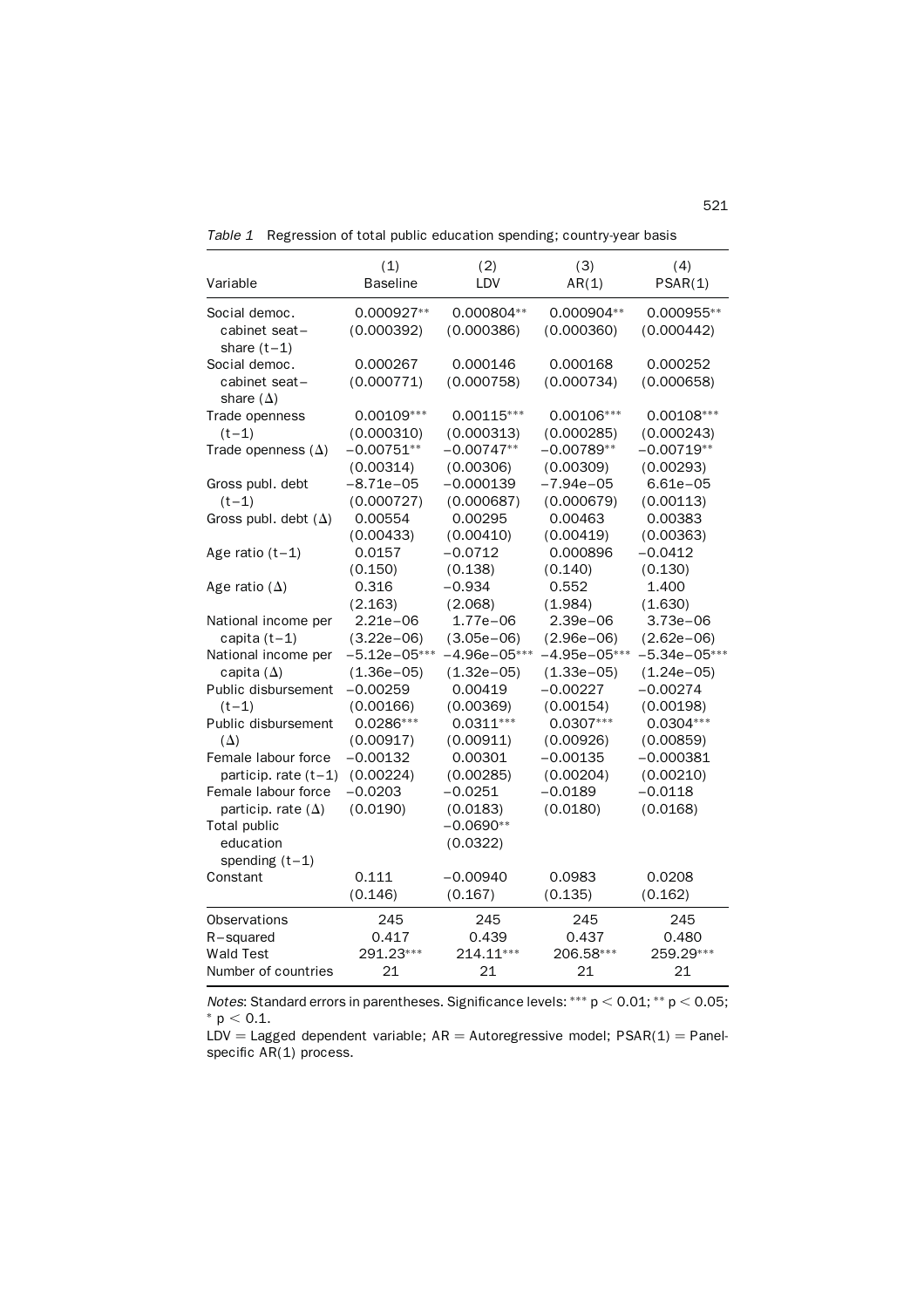| 0.000804**<br>0.000904**<br>0.000955**<br>0.000927**<br>Social democ.<br>(0.000442)<br>cabinet seat-<br>(0.000392)<br>(0.000386)<br>(0.000360)<br>share $(t-1)$<br>0.000267<br>0.000146<br>0.000168<br>0.000252<br>(0.000734)<br>cabinet seat-<br>(0.000771)<br>(0.000758)<br>(0.000658)<br>share $(\Delta)$<br>$0.00109***$<br>$0.00115***$<br>$0.00108***$<br>$0.00106***$<br>(0.000310)<br>(0.000313)<br>(0.000285)<br>(0.000243)<br>$(t-1)$<br>$-0.00747**$<br>$-0.00789**$<br>$-0.00719**$<br>Trade openness $(\Delta)$<br>$-0.00751**$<br>(0.00314)<br>(0.00306)<br>(0.00309)<br>(0.00293)<br>$-8.71e-05$<br>$-0.000139$<br>$-7.94e - 05$<br>6.61e-05<br>(0.000687)<br>$(t-1)$<br>(0.000727)<br>(0.000679)<br>(0.00113)<br>0.00554<br>0.00295<br>0.00463<br>0.00383<br>(0.00433)<br>(0.00410)<br>(0.00419)<br>(0.00363)<br>0.0157<br>$-0.0712$<br>0.000896<br>$-0.0412$<br>(0.150)<br>(0.138)<br>(0.140)<br>(0.130)<br>0.316<br>$-0.934$<br>1.400<br>0.552<br>(2.163)<br>(2.068)<br>(1.984)<br>(1.630)<br>$2.21e-06$<br>$2.39e - 06$<br>$3.73e - 06$<br>$1.77e - 06$<br>capita $(t-1)$<br>$(3.22e-06)$<br>$(3.05e - 06)$<br>$(2.96e-06)$<br>$(2.62e-06)$<br>$-5.12e - 05***$<br>$-4.96e - 05***$<br>$-4.95e - 05***$<br>$-5.34e-05***$<br>$(1.36e-05)$<br>$(1.32e-05)$<br>$(1.33e-05)$<br>$(1.24e-05)$<br>capita $(\Delta)$<br>$-0.00259$<br>0.00419<br>$-0.00227$<br>$-0.00274$<br>Public disbursement<br>(0.00154)<br>(0.00198)<br>(0.00166)<br>(0.00369)<br>$(t-1)$<br>$0.0286***$<br>$0.0307***$<br>$0.0304***$<br>$0.0311***$<br>(0.00917)<br>(0.00911)<br>(0.00926)<br>(0.00859)<br>$(\Delta)$<br>Female labour force<br>$-0.00132$<br>0.00301<br>$-0.00135$<br>$-0.000381$<br>particip. rate $(t-1)$<br>(0.00224)<br>(0.00285)<br>(0.00204)<br>(0.00210)<br>$-0.0203$<br>$-0.0251$<br>$-0.0189$<br>$-0.0118$<br>(0.0190)<br>(0.0180)<br>particip. rate $(\Delta)$<br>(0.0183)<br>(0.0168)<br>$-0.0690**$<br>Total public<br>education<br>(0.0322)<br>spending $(t-1)$<br>Constant<br>0.111<br>$-0.00940$<br>0.0983<br>0.0208<br>(0.146)<br>(0.167)<br>(0.135)<br>(0.162)<br>245<br>245<br>245<br>245<br>0.417<br>0.437<br>0.480<br>0.439<br>291.23***<br>214.11***<br>206.58***<br>259.29 ***<br>21<br>21<br>21<br>21 | Variable                    | (1)<br><b>Baseline</b> | (2)<br>LDV | (3)<br>AR(1) | (4)<br>PSAR(1) |
|------------------------------------------------------------------------------------------------------------------------------------------------------------------------------------------------------------------------------------------------------------------------------------------------------------------------------------------------------------------------------------------------------------------------------------------------------------------------------------------------------------------------------------------------------------------------------------------------------------------------------------------------------------------------------------------------------------------------------------------------------------------------------------------------------------------------------------------------------------------------------------------------------------------------------------------------------------------------------------------------------------------------------------------------------------------------------------------------------------------------------------------------------------------------------------------------------------------------------------------------------------------------------------------------------------------------------------------------------------------------------------------------------------------------------------------------------------------------------------------------------------------------------------------------------------------------------------------------------------------------------------------------------------------------------------------------------------------------------------------------------------------------------------------------------------------------------------------------------------------------------------------------------------------------------------------------------------------------------------------------------------------------------------------------------------------------------------------------------------------------------------------------------------------------------------------------------------------------------------|-----------------------------|------------------------|------------|--------------|----------------|
|                                                                                                                                                                                                                                                                                                                                                                                                                                                                                                                                                                                                                                                                                                                                                                                                                                                                                                                                                                                                                                                                                                                                                                                                                                                                                                                                                                                                                                                                                                                                                                                                                                                                                                                                                                                                                                                                                                                                                                                                                                                                                                                                                                                                                                    |                             |                        |            |              |                |
|                                                                                                                                                                                                                                                                                                                                                                                                                                                                                                                                                                                                                                                                                                                                                                                                                                                                                                                                                                                                                                                                                                                                                                                                                                                                                                                                                                                                                                                                                                                                                                                                                                                                                                                                                                                                                                                                                                                                                                                                                                                                                                                                                                                                                                    |                             |                        |            |              |                |
|                                                                                                                                                                                                                                                                                                                                                                                                                                                                                                                                                                                                                                                                                                                                                                                                                                                                                                                                                                                                                                                                                                                                                                                                                                                                                                                                                                                                                                                                                                                                                                                                                                                                                                                                                                                                                                                                                                                                                                                                                                                                                                                                                                                                                                    | Social democ.               |                        |            |              |                |
|                                                                                                                                                                                                                                                                                                                                                                                                                                                                                                                                                                                                                                                                                                                                                                                                                                                                                                                                                                                                                                                                                                                                                                                                                                                                                                                                                                                                                                                                                                                                                                                                                                                                                                                                                                                                                                                                                                                                                                                                                                                                                                                                                                                                                                    | Trade openness              |                        |            |              |                |
|                                                                                                                                                                                                                                                                                                                                                                                                                                                                                                                                                                                                                                                                                                                                                                                                                                                                                                                                                                                                                                                                                                                                                                                                                                                                                                                                                                                                                                                                                                                                                                                                                                                                                                                                                                                                                                                                                                                                                                                                                                                                                                                                                                                                                                    |                             |                        |            |              |                |
|                                                                                                                                                                                                                                                                                                                                                                                                                                                                                                                                                                                                                                                                                                                                                                                                                                                                                                                                                                                                                                                                                                                                                                                                                                                                                                                                                                                                                                                                                                                                                                                                                                                                                                                                                                                                                                                                                                                                                                                                                                                                                                                                                                                                                                    |                             |                        |            |              |                |
|                                                                                                                                                                                                                                                                                                                                                                                                                                                                                                                                                                                                                                                                                                                                                                                                                                                                                                                                                                                                                                                                                                                                                                                                                                                                                                                                                                                                                                                                                                                                                                                                                                                                                                                                                                                                                                                                                                                                                                                                                                                                                                                                                                                                                                    |                             |                        |            |              |                |
|                                                                                                                                                                                                                                                                                                                                                                                                                                                                                                                                                                                                                                                                                                                                                                                                                                                                                                                                                                                                                                                                                                                                                                                                                                                                                                                                                                                                                                                                                                                                                                                                                                                                                                                                                                                                                                                                                                                                                                                                                                                                                                                                                                                                                                    | Gross publ. debt            |                        |            |              |                |
|                                                                                                                                                                                                                                                                                                                                                                                                                                                                                                                                                                                                                                                                                                                                                                                                                                                                                                                                                                                                                                                                                                                                                                                                                                                                                                                                                                                                                                                                                                                                                                                                                                                                                                                                                                                                                                                                                                                                                                                                                                                                                                                                                                                                                                    |                             |                        |            |              |                |
|                                                                                                                                                                                                                                                                                                                                                                                                                                                                                                                                                                                                                                                                                                                                                                                                                                                                                                                                                                                                                                                                                                                                                                                                                                                                                                                                                                                                                                                                                                                                                                                                                                                                                                                                                                                                                                                                                                                                                                                                                                                                                                                                                                                                                                    | Gross publ. debt $(\Delta)$ |                        |            |              |                |
|                                                                                                                                                                                                                                                                                                                                                                                                                                                                                                                                                                                                                                                                                                                                                                                                                                                                                                                                                                                                                                                                                                                                                                                                                                                                                                                                                                                                                                                                                                                                                                                                                                                                                                                                                                                                                                                                                                                                                                                                                                                                                                                                                                                                                                    |                             |                        |            |              |                |
|                                                                                                                                                                                                                                                                                                                                                                                                                                                                                                                                                                                                                                                                                                                                                                                                                                                                                                                                                                                                                                                                                                                                                                                                                                                                                                                                                                                                                                                                                                                                                                                                                                                                                                                                                                                                                                                                                                                                                                                                                                                                                                                                                                                                                                    | Age ratio $(t-1)$           |                        |            |              |                |
|                                                                                                                                                                                                                                                                                                                                                                                                                                                                                                                                                                                                                                                                                                                                                                                                                                                                                                                                                                                                                                                                                                                                                                                                                                                                                                                                                                                                                                                                                                                                                                                                                                                                                                                                                                                                                                                                                                                                                                                                                                                                                                                                                                                                                                    |                             |                        |            |              |                |
|                                                                                                                                                                                                                                                                                                                                                                                                                                                                                                                                                                                                                                                                                                                                                                                                                                                                                                                                                                                                                                                                                                                                                                                                                                                                                                                                                                                                                                                                                                                                                                                                                                                                                                                                                                                                                                                                                                                                                                                                                                                                                                                                                                                                                                    | Age ratio $(\Delta)$        |                        |            |              |                |
|                                                                                                                                                                                                                                                                                                                                                                                                                                                                                                                                                                                                                                                                                                                                                                                                                                                                                                                                                                                                                                                                                                                                                                                                                                                                                                                                                                                                                                                                                                                                                                                                                                                                                                                                                                                                                                                                                                                                                                                                                                                                                                                                                                                                                                    |                             |                        |            |              |                |
|                                                                                                                                                                                                                                                                                                                                                                                                                                                                                                                                                                                                                                                                                                                                                                                                                                                                                                                                                                                                                                                                                                                                                                                                                                                                                                                                                                                                                                                                                                                                                                                                                                                                                                                                                                                                                                                                                                                                                                                                                                                                                                                                                                                                                                    | National income per         |                        |            |              |                |
|                                                                                                                                                                                                                                                                                                                                                                                                                                                                                                                                                                                                                                                                                                                                                                                                                                                                                                                                                                                                                                                                                                                                                                                                                                                                                                                                                                                                                                                                                                                                                                                                                                                                                                                                                                                                                                                                                                                                                                                                                                                                                                                                                                                                                                    |                             |                        |            |              |                |
|                                                                                                                                                                                                                                                                                                                                                                                                                                                                                                                                                                                                                                                                                                                                                                                                                                                                                                                                                                                                                                                                                                                                                                                                                                                                                                                                                                                                                                                                                                                                                                                                                                                                                                                                                                                                                                                                                                                                                                                                                                                                                                                                                                                                                                    | National income per         |                        |            |              |                |
|                                                                                                                                                                                                                                                                                                                                                                                                                                                                                                                                                                                                                                                                                                                                                                                                                                                                                                                                                                                                                                                                                                                                                                                                                                                                                                                                                                                                                                                                                                                                                                                                                                                                                                                                                                                                                                                                                                                                                                                                                                                                                                                                                                                                                                    |                             |                        |            |              |                |
|                                                                                                                                                                                                                                                                                                                                                                                                                                                                                                                                                                                                                                                                                                                                                                                                                                                                                                                                                                                                                                                                                                                                                                                                                                                                                                                                                                                                                                                                                                                                                                                                                                                                                                                                                                                                                                                                                                                                                                                                                                                                                                                                                                                                                                    |                             |                        |            |              |                |
|                                                                                                                                                                                                                                                                                                                                                                                                                                                                                                                                                                                                                                                                                                                                                                                                                                                                                                                                                                                                                                                                                                                                                                                                                                                                                                                                                                                                                                                                                                                                                                                                                                                                                                                                                                                                                                                                                                                                                                                                                                                                                                                                                                                                                                    |                             |                        |            |              |                |
|                                                                                                                                                                                                                                                                                                                                                                                                                                                                                                                                                                                                                                                                                                                                                                                                                                                                                                                                                                                                                                                                                                                                                                                                                                                                                                                                                                                                                                                                                                                                                                                                                                                                                                                                                                                                                                                                                                                                                                                                                                                                                                                                                                                                                                    | Public disbursement         |                        |            |              |                |
|                                                                                                                                                                                                                                                                                                                                                                                                                                                                                                                                                                                                                                                                                                                                                                                                                                                                                                                                                                                                                                                                                                                                                                                                                                                                                                                                                                                                                                                                                                                                                                                                                                                                                                                                                                                                                                                                                                                                                                                                                                                                                                                                                                                                                                    |                             |                        |            |              |                |
|                                                                                                                                                                                                                                                                                                                                                                                                                                                                                                                                                                                                                                                                                                                                                                                                                                                                                                                                                                                                                                                                                                                                                                                                                                                                                                                                                                                                                                                                                                                                                                                                                                                                                                                                                                                                                                                                                                                                                                                                                                                                                                                                                                                                                                    |                             |                        |            |              |                |
|                                                                                                                                                                                                                                                                                                                                                                                                                                                                                                                                                                                                                                                                                                                                                                                                                                                                                                                                                                                                                                                                                                                                                                                                                                                                                                                                                                                                                                                                                                                                                                                                                                                                                                                                                                                                                                                                                                                                                                                                                                                                                                                                                                                                                                    |                             |                        |            |              |                |
|                                                                                                                                                                                                                                                                                                                                                                                                                                                                                                                                                                                                                                                                                                                                                                                                                                                                                                                                                                                                                                                                                                                                                                                                                                                                                                                                                                                                                                                                                                                                                                                                                                                                                                                                                                                                                                                                                                                                                                                                                                                                                                                                                                                                                                    | Female labour force         |                        |            |              |                |
|                                                                                                                                                                                                                                                                                                                                                                                                                                                                                                                                                                                                                                                                                                                                                                                                                                                                                                                                                                                                                                                                                                                                                                                                                                                                                                                                                                                                                                                                                                                                                                                                                                                                                                                                                                                                                                                                                                                                                                                                                                                                                                                                                                                                                                    |                             |                        |            |              |                |
|                                                                                                                                                                                                                                                                                                                                                                                                                                                                                                                                                                                                                                                                                                                                                                                                                                                                                                                                                                                                                                                                                                                                                                                                                                                                                                                                                                                                                                                                                                                                                                                                                                                                                                                                                                                                                                                                                                                                                                                                                                                                                                                                                                                                                                    |                             |                        |            |              |                |
|                                                                                                                                                                                                                                                                                                                                                                                                                                                                                                                                                                                                                                                                                                                                                                                                                                                                                                                                                                                                                                                                                                                                                                                                                                                                                                                                                                                                                                                                                                                                                                                                                                                                                                                                                                                                                                                                                                                                                                                                                                                                                                                                                                                                                                    |                             |                        |            |              |                |
|                                                                                                                                                                                                                                                                                                                                                                                                                                                                                                                                                                                                                                                                                                                                                                                                                                                                                                                                                                                                                                                                                                                                                                                                                                                                                                                                                                                                                                                                                                                                                                                                                                                                                                                                                                                                                                                                                                                                                                                                                                                                                                                                                                                                                                    |                             |                        |            |              |                |
|                                                                                                                                                                                                                                                                                                                                                                                                                                                                                                                                                                                                                                                                                                                                                                                                                                                                                                                                                                                                                                                                                                                                                                                                                                                                                                                                                                                                                                                                                                                                                                                                                                                                                                                                                                                                                                                                                                                                                                                                                                                                                                                                                                                                                                    |                             |                        |            |              |                |
|                                                                                                                                                                                                                                                                                                                                                                                                                                                                                                                                                                                                                                                                                                                                                                                                                                                                                                                                                                                                                                                                                                                                                                                                                                                                                                                                                                                                                                                                                                                                                                                                                                                                                                                                                                                                                                                                                                                                                                                                                                                                                                                                                                                                                                    |                             |                        |            |              |                |
|                                                                                                                                                                                                                                                                                                                                                                                                                                                                                                                                                                                                                                                                                                                                                                                                                                                                                                                                                                                                                                                                                                                                                                                                                                                                                                                                                                                                                                                                                                                                                                                                                                                                                                                                                                                                                                                                                                                                                                                                                                                                                                                                                                                                                                    | Observations                |                        |            |              |                |
|                                                                                                                                                                                                                                                                                                                                                                                                                                                                                                                                                                                                                                                                                                                                                                                                                                                                                                                                                                                                                                                                                                                                                                                                                                                                                                                                                                                                                                                                                                                                                                                                                                                                                                                                                                                                                                                                                                                                                                                                                                                                                                                                                                                                                                    | R-squared                   |                        |            |              |                |
|                                                                                                                                                                                                                                                                                                                                                                                                                                                                                                                                                                                                                                                                                                                                                                                                                                                                                                                                                                                                                                                                                                                                                                                                                                                                                                                                                                                                                                                                                                                                                                                                                                                                                                                                                                                                                                                                                                                                                                                                                                                                                                                                                                                                                                    | <b>Wald Test</b>            |                        |            |              |                |
|                                                                                                                                                                                                                                                                                                                                                                                                                                                                                                                                                                                                                                                                                                                                                                                                                                                                                                                                                                                                                                                                                                                                                                                                                                                                                                                                                                                                                                                                                                                                                                                                                                                                                                                                                                                                                                                                                                                                                                                                                                                                                                                                                                                                                                    | Number of countries         |                        |            |              |                |

Table 1 Regression of total public education spending; country-year basis

Notes: Standard errors in parentheses. Significance levels: \*\*\*  $p < 0.01$ ; \*\*  $p < 0.05$ ;  $*$  p  $<$  0.1.

LDV = Lagged dependent variable;  $AR =$  Autoregressive model;  $PSAR(1) =$  Panelspecific AR(1) process.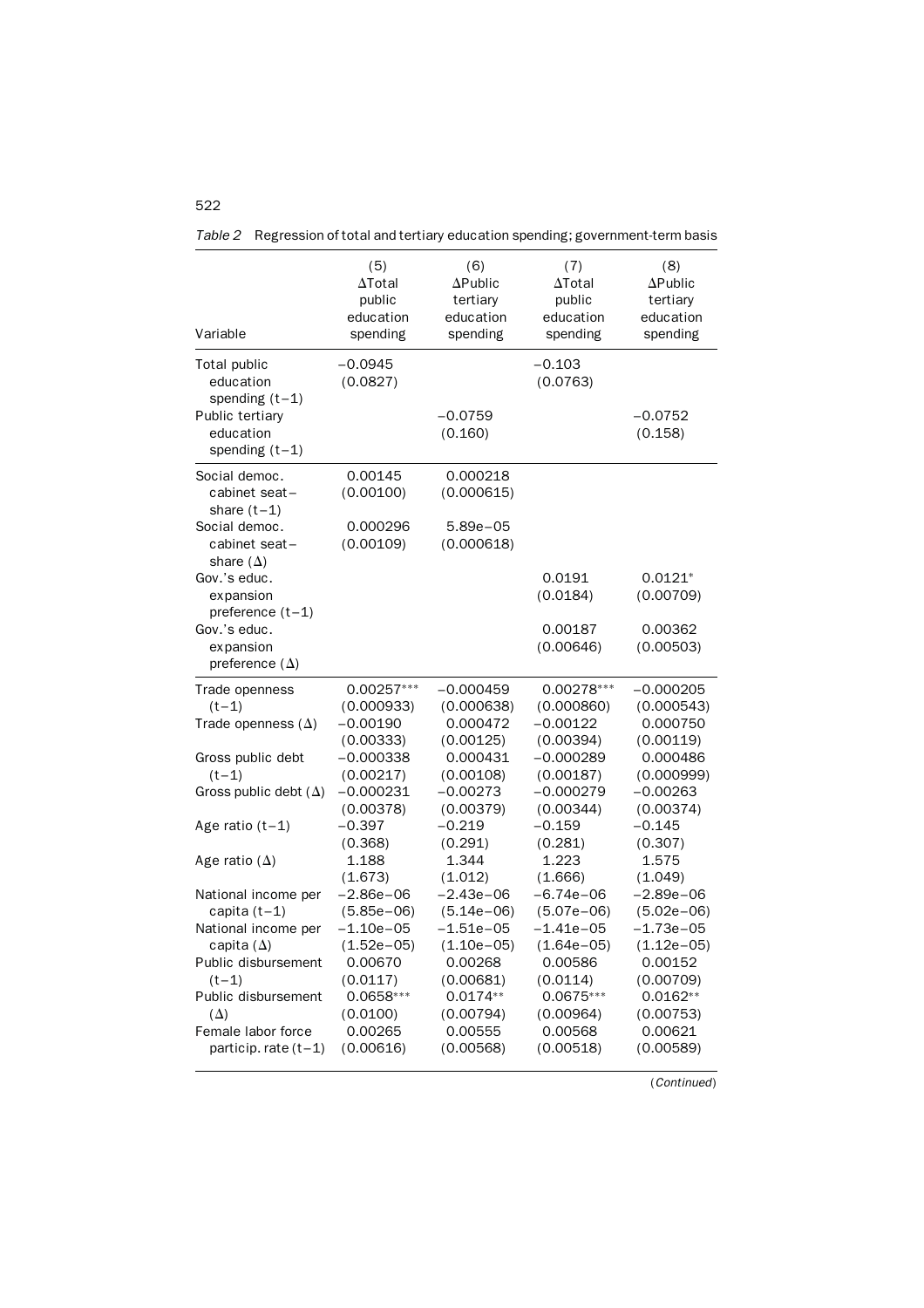| Variable                                           | (5)<br>$\Delta$ Total<br>public<br>education<br>spending | (6)<br>$\Delta$ Public<br>tertiary<br>education<br>spending | (7)<br>$\Delta$ Total<br>public<br>education<br>spending | (8)<br>$\Delta$ Public<br>tertiary<br>education<br>spending |
|----------------------------------------------------|----------------------------------------------------------|-------------------------------------------------------------|----------------------------------------------------------|-------------------------------------------------------------|
| Total public<br>education<br>spending $(t-1)$      | –0.0945<br>(0.0827)                                      |                                                             | $-0.103$<br>(0.0763)                                     |                                                             |
| Public tertiary<br>education<br>spending $(t-1)$   |                                                          | $-0.0759$<br>(0.160)                                        |                                                          | $-0.0752$<br>(0.158)                                        |
| Social democ.                                      | 0.00145                                                  | 0.000218                                                    |                                                          |                                                             |
| cabinet seat-<br>share $(t-1)$                     | (0.00100)                                                | (0.000615)                                                  |                                                          |                                                             |
| Social democ.                                      | 0.000296                                                 | 5.89e-05                                                    |                                                          |                                                             |
| cabinet seat-<br>share $(\Delta)$                  | (0.00109)                                                | (0.000618)                                                  |                                                          |                                                             |
| Gov.'s educ.                                       |                                                          |                                                             | 0.0191                                                   | $0.0121*$                                                   |
| expansion<br>$preference(t-1)$                     |                                                          |                                                             | (0.0184)                                                 | (0.00709)                                                   |
| Gov.'s educ.<br>expansion<br>preference $(\Delta)$ |                                                          |                                                             | 0.00187<br>(0.00646)                                     | 0.00362<br>(0.00503)                                        |
| Trade openness                                     | $0.00257***$                                             | $-0.000459$                                                 | 0.00278 ***                                              | $-0.000205$                                                 |
| $(t-1)$                                            | (0.000933)                                               | (0.000638)                                                  | (0.000860)                                               | (0.000543)                                                  |
| Trade openness $(\Delta)$                          | $-0.00190$                                               | 0.000472                                                    | $-0.00122$                                               | 0.000750                                                    |
|                                                    | (0.00333)                                                | (0.00125)                                                   | (0.00394)                                                | (0.00119)                                                   |
| Gross public debt                                  | $-0.000338$                                              | 0.000431                                                    | $-0.000289$                                              | 0.000486                                                    |
| $(t-1)$                                            | (0.00217)                                                | (0.00108)                                                   | (0.00187)                                                | (0.000999)                                                  |
| Gross public debt $(\Delta)$                       | $-0.000231$<br>(0.00378)                                 | $-0.00273$<br>(0.00379)                                     | $-0.000279$<br>(0.00344)                                 | $-0.00263$<br>(0.00374)                                     |
| Age ratio $(t-1)$                                  | $-0.397$                                                 | $-0.219$                                                    | $-0.159$                                                 | $-0.145$                                                    |
|                                                    | (0.368)                                                  | (0.291)                                                     | (0.281)                                                  | (0.307)                                                     |
| Age ratio $(\Delta)$                               | 1.188                                                    | 1.344                                                       | 1.223                                                    | 1.575                                                       |
|                                                    | (1.673)                                                  | (1.012)                                                     | (1.666)                                                  | (1.049)                                                     |
| National income per                                | $-2.86e - 06$                                            | $-2.43e-06$                                                 | $-6.74e-06$                                              | $-2.89e - 06$                                               |
| capita $(t-1)$                                     | $(5.85e-06)$                                             | $(5.14e-06)$                                                | $(5.07e-06)$                                             | $(5.02e-06)$                                                |
| National income per                                | $-1.10e-05$                                              | $-1.51e-05$                                                 | $-1.41e-05$                                              | $-1.73e-05$                                                 |
| capita $(\Delta)$                                  | $(1.52e-05)$                                             | $(1.10e-05)$                                                | $(1.64e-05)$                                             | $(1.12e-05)$                                                |
| Public disbursement                                | 0.00670                                                  | 0.00268                                                     | 0.00586                                                  | 0.00152                                                     |
| $(t-1)$<br>Public disbursement                     | (0.0117)<br>$0.0658***$                                  | (0.00681)<br>$0.0174**$                                     | (0.0114)<br>$0.0675***$                                  | (0.00709)<br>$0.0162**$                                     |
| $(\Delta)$                                         | (0.0100)                                                 | (0.00794)                                                   | (0.00964)                                                | (0.00753)                                                   |
| Female labor force                                 | 0.00265                                                  | 0.00555                                                     | 0.00568                                                  | 0.00621                                                     |
| particip. rate $(t-1)$                             | (0.00616)                                                | (0.00568)                                                   | (0.00518)                                                | (0.00589)                                                   |

Table 2 Regression of total and tertiary education spending; government-term basis

(Continued)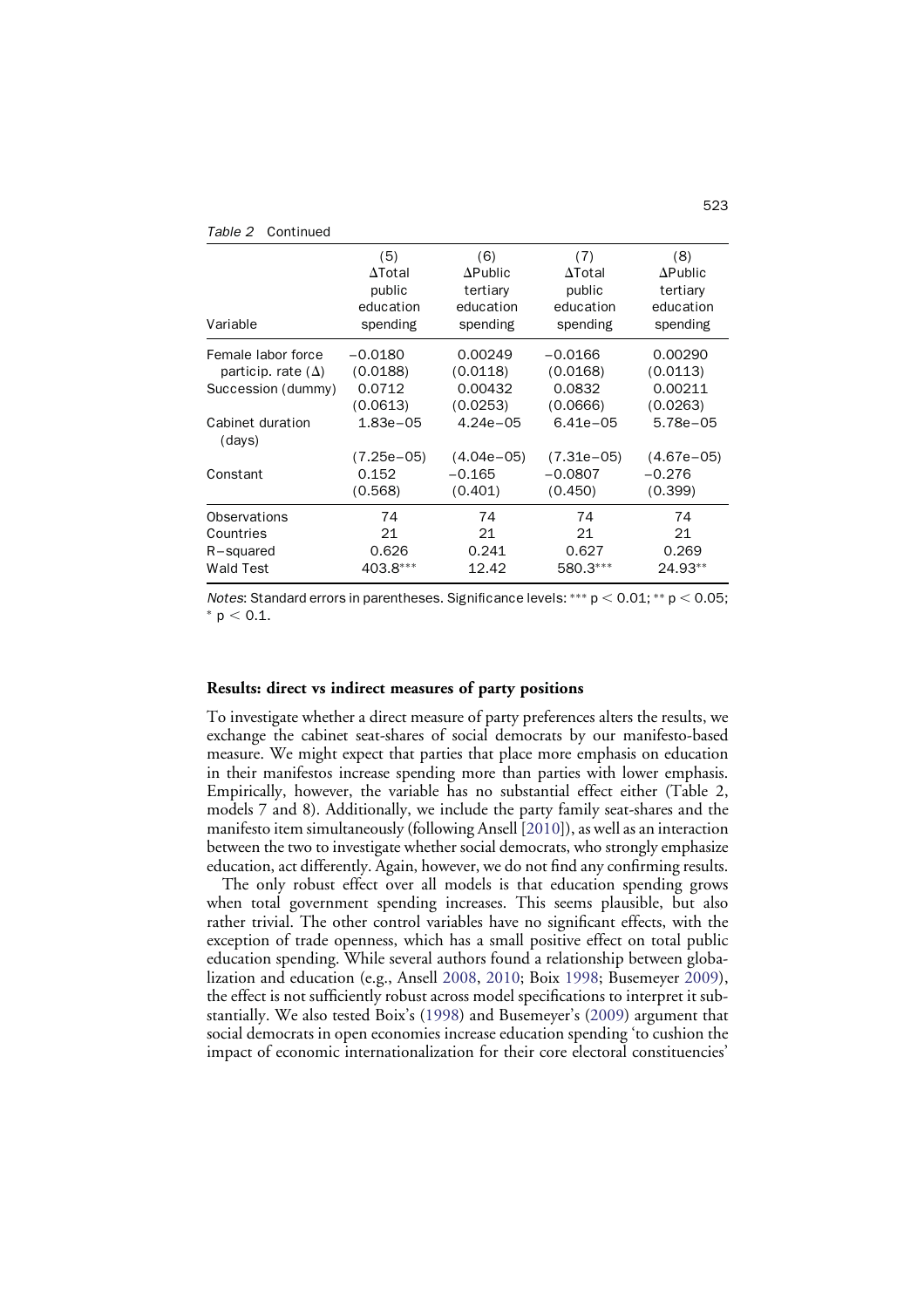| Variable                   | (5)<br>$\Delta$ Total<br>public<br>education<br>spending | (6)<br>$\Delta$ Public<br>tertiary<br>education<br>spending | (7)<br>$\Delta$ Total<br>public<br>education<br>spending | (8)<br>$\Delta$ Public<br>tertiary<br>education<br>spending |
|----------------------------|----------------------------------------------------------|-------------------------------------------------------------|----------------------------------------------------------|-------------------------------------------------------------|
| Female labor force         | $-0.0180$                                                | 0.00249                                                     | $-0.0166$                                                | 0.00290                                                     |
| particip. rate $(\Delta)$  | (0.0188)                                                 | (0.0118)                                                    | (0.0168)                                                 | (0.0113)                                                    |
| Succession (dummy)         | 0.0712                                                   | 0.00432                                                     | 0.0832                                                   | 0.00211                                                     |
|                            | (0.0613)                                                 | (0.0253)                                                    | (0.0666)                                                 | (0.0263)                                                    |
| Cabinet duration<br>(days) | $1.83e - 05$                                             | $4.24e - 05$                                                | $6.41e - 05$                                             | 5.78e-05                                                    |
|                            | $(7.25e - 05)$                                           | $(4.04e-05)$                                                | $(7.31e - 05)$                                           | $(4.67e-05)$                                                |
| Constant                   | 0.152                                                    | $-0.165$                                                    | $-0.0807$                                                | $-0.276$                                                    |
|                            | (0.568)                                                  | (0.401)                                                     | (0.450)                                                  | (0.399)                                                     |
| Observations               | 74                                                       | 74                                                          | 74                                                       | 74                                                          |
| Countries                  | 21                                                       | 21                                                          | 21                                                       | 21                                                          |
| R-squared                  | 0.626                                                    | 0.241                                                       | 0.627                                                    | 0.269                                                       |
| Wald Test                  | 403.8***                                                 | 12.42                                                       | 580.3***                                                 | 24.93**                                                     |

Notes: Standard errors in parentheses. Significance levels: \*\*\*  $p < 0.01$ ; \*\*  $p < 0.05$ ;  $*$  p < 0.1.

## Results: direct vs indirect measures of party positions

To investigate whether a direct measure of party preferences alters the results, we exchange the cabinet seat-shares of social democrats by our manifesto-based measure. We might expect that parties that place more emphasis on education in their manifestos increase spending more than parties with lower emphasis. Empirically, however, the variable has no substantial effect either (Table 2, models 7 and 8). Additionally, we include the party family seat-shares and the manifesto item simultaneously (following Ansell [2010]), as well as an interaction between the two to investigate whether social democrats, who strongly emphasize education, act differently. Again, however, we do not find any confirming results.

The only robust effect over all models is that education spending grows when total government spending increases. This seems plausible, but also rather trivial. The other control variables have no significant effects, with the exception of trade openness, which has a small positive effect on total public education spending. While several authors found a relationship between globalization and education (e.g., Ansell 2008, 2010; Boix 1998; Busemeyer 2009), the effect is not sufficiently robust across model specifications to interpret it substantially. We also tested Boix's (1998) and Busemeyer's (2009) argument that social democrats in open economies increase education spending 'to cushion the impact of economic internationalization for their core electoral constituencies'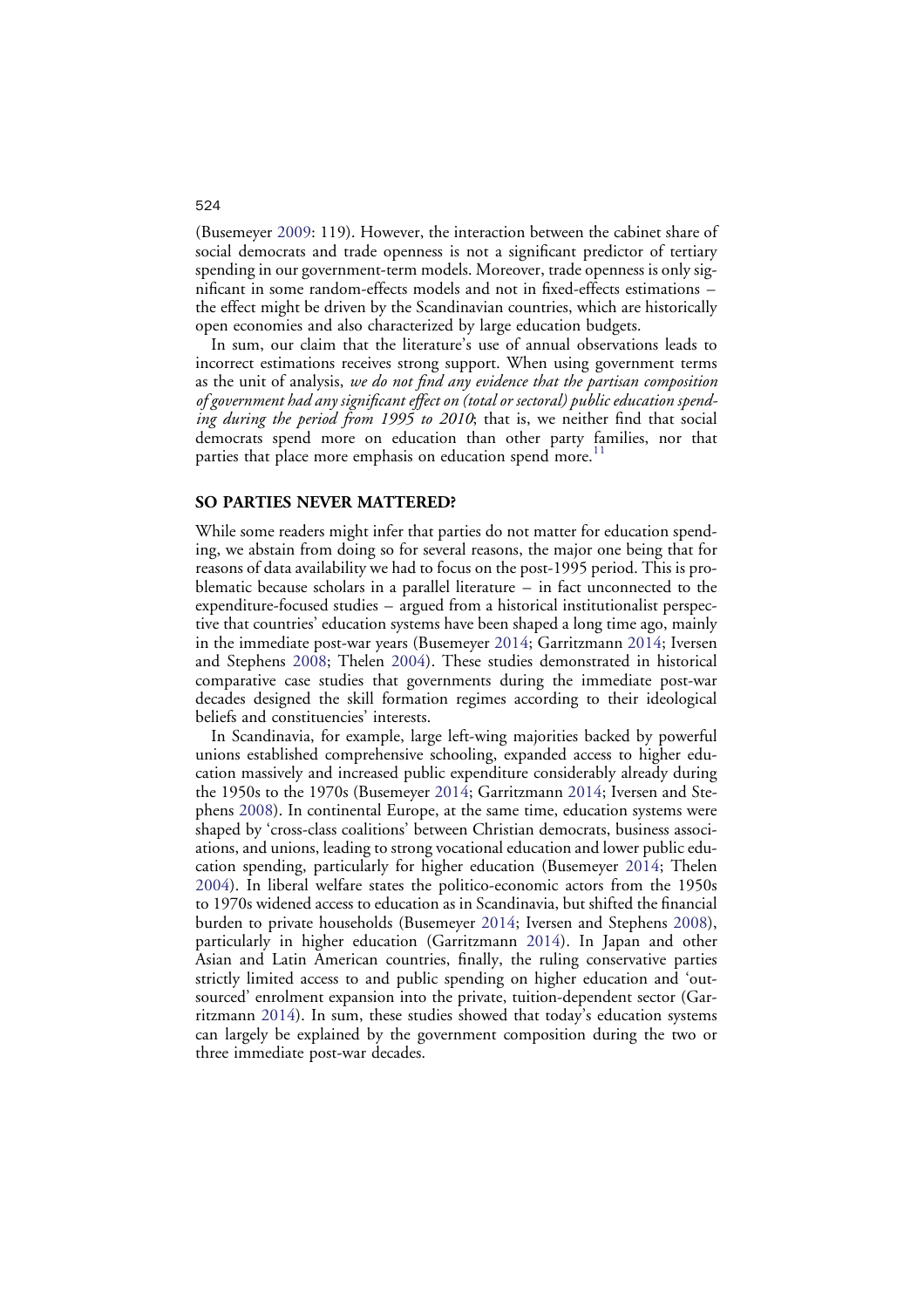(Busemeyer 2009: 119). However, the interaction between the cabinet share of social democrats and trade openness is not a significant predictor of tertiary spending in our government-term models. Moreover, trade openness is only significant in some random-effects models and not in fixed-effects estimations – the effect might be driven by the Scandinavian countries, which are historically open economies and also characterized by large education budgets.

In sum, our claim that the literature's use of annual observations leads to incorrect estimations receives strong support. When using government terms as the unit of analysis, we do not find any evidence that the partisan composition of government had any significant effect on (total or sectoral) public education spending during the period from 1995 to 2010; that is, we neither find that social democrats spend more on education than other party families, nor that parties that place more emphasis on education spend more.<sup>11</sup>

## SO PARTIES NEVER MATTERED?

While some readers might infer that parties do not matter for education spending, we abstain from doing so for several reasons, the major one being that for reasons of data availability we had to focus on the post-1995 period. This is problematic because scholars in a parallel literature – in fact unconnected to the expenditure-focused studies – argued from a historical institutionalist perspective that countries' education systems have been shaped a long time ago, mainly in the immediate post-war years (Busemeyer 2014; Garritzmann 2014; Iversen and Stephens 2008; Thelen 2004). These studies demonstrated in historical comparative case studies that governments during the immediate post-war decades designed the skill formation regimes according to their ideological beliefs and constituencies' interests.

In Scandinavia, for example, large left-wing majorities backed by powerful unions established comprehensive schooling, expanded access to higher education massively and increased public expenditure considerably already during the 1950s to the 1970s (Busemeyer 2014; Garritzmann 2014; Iversen and Stephens 2008). In continental Europe, at the same time, education systems were shaped by 'cross-class coalitions' between Christian democrats, business associations, and unions, leading to strong vocational education and lower public education spending, particularly for higher education (Busemeyer 2014; Thelen 2004). In liberal welfare states the politico-economic actors from the 1950s to 1970s widened access to education as in Scandinavia, but shifted the financial burden to private households (Busemeyer 2014; Iversen and Stephens 2008), particularly in higher education (Garritzmann 2014). In Japan and other Asian and Latin American countries, finally, the ruling conservative parties strictly limited access to and public spending on higher education and 'outsourced' enrolment expansion into the private, tuition-dependent sector (Garritzmann 2014). In sum, these studies showed that today's education systems can largely be explained by the government composition during the two or three immediate post-war decades.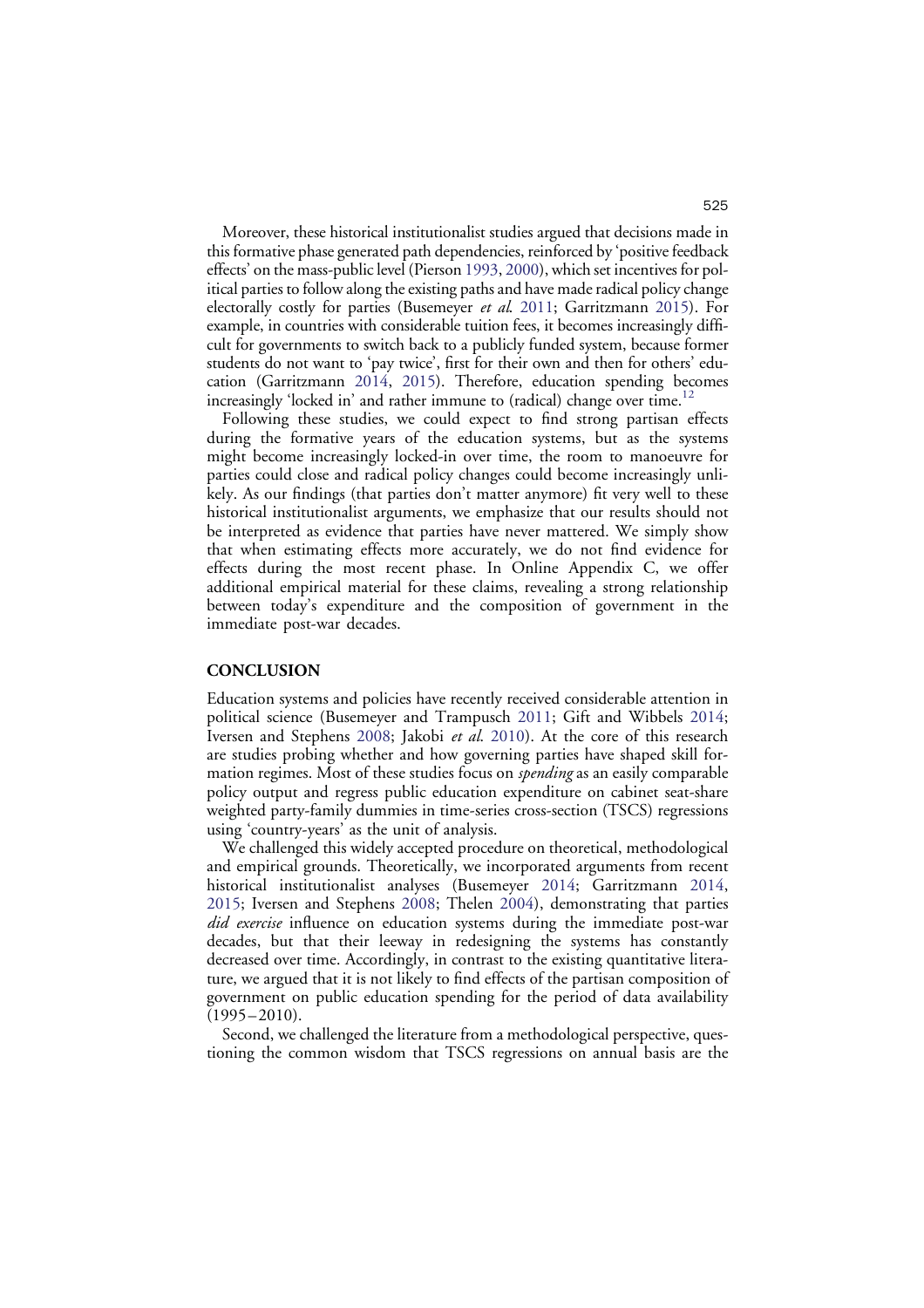Moreover, these historical institutionalist studies argued that decisions made in this formative phase generated path dependencies, reinforced by 'positive feedback effects' on the mass-public level (Pierson 1993, 2000), which set incentives for political parties to follow along the existing paths and have made radical policy change electorally costly for parties (Busemeyer et al. 2011; Garritzmann 2015). For example, in countries with considerable tuition fees, it becomes increasingly difficult for governments to switch back to a publicly funded system, because former students do not want to 'pay twice', first for their own and then for others' education (Garritzmann 2014, 2015). Therefore, education spending becomes increasingly 'locked in' and rather immune to (radical) change over time.<sup>12</sup>

Following these studies, we could expect to find strong partisan effects during the formative years of the education systems, but as the systems might become increasingly locked-in over time, the room to manoeuvre for parties could close and radical policy changes could become increasingly unlikely. As our findings (that parties don't matter anymore) fit very well to these historical institutionalist arguments, we emphasize that our results should not be interpreted as evidence that parties have never mattered. We simply show that when estimating effects more accurately, we do not find evidence for effects during the most recent phase. In Online Appendix C, we offer additional empirical material for these claims, revealing a strong relationship between today's expenditure and the composition of government in the immediate post-war decades.

## **CONCLUSION**

Education systems and policies have recently received considerable attention in political science (Busemeyer and Trampusch 2011; Gift and Wibbels 2014; Iversen and Stephens 2008; Jakobi et al. 2010). At the core of this research are studies probing whether and how governing parties have shaped skill formation regimes. Most of these studies focus on *spending* as an easily comparable policy output and regress public education expenditure on cabinet seat-share weighted party-family dummies in time-series cross-section (TSCS) regressions using 'country-years' as the unit of analysis.

We challenged this widely accepted procedure on theoretical, methodological and empirical grounds. Theoretically, we incorporated arguments from recent historical institutionalist analyses (Busemeyer 2014; Garritzmann 2014, 2015; Iversen and Stephens 2008; Thelen 2004), demonstrating that parties did exercise influence on education systems during the immediate post-war decades, but that their leeway in redesigning the systems has constantly decreased over time. Accordingly, in contrast to the existing quantitative literature, we argued that it is not likely to find effects of the partisan composition of government on public education spending for the period of data availability  $(1995 - 2010).$ 

Second, we challenged the literature from a methodological perspective, questioning the common wisdom that TSCS regressions on annual basis are the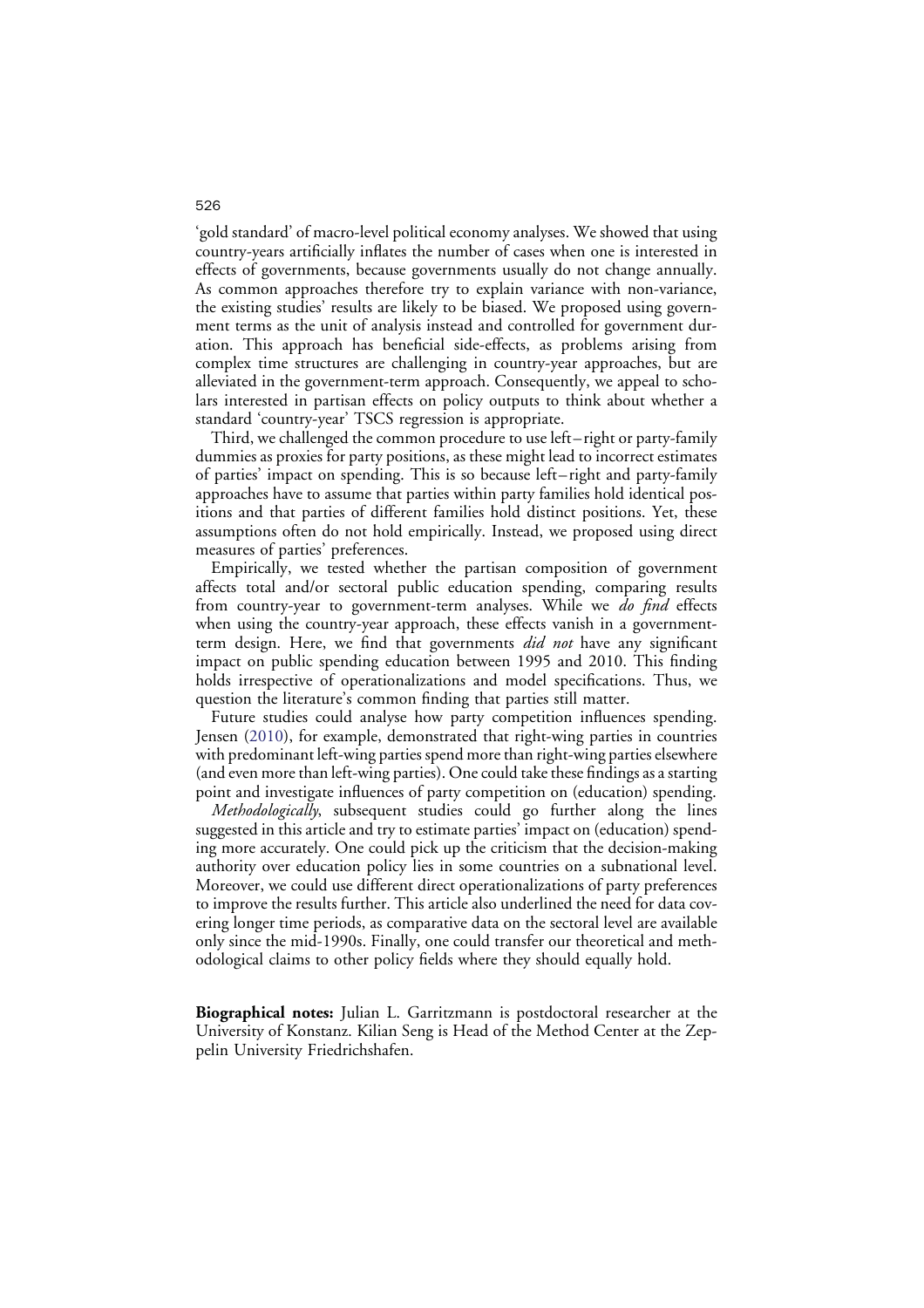'gold standard' of macro-level political economy analyses. We showed that using country-years artificially inflates the number of cases when one is interested in effects of governments, because governments usually do not change annually. As common approaches therefore try to explain variance with non-variance, the existing studies' results are likely to be biased. We proposed using government terms as the unit of analysis instead and controlled for government duration. This approach has beneficial side-effects, as problems arising from complex time structures are challenging in country-year approaches, but are alleviated in the government-term approach. Consequently, we appeal to scholars interested in partisan effects on policy outputs to think about whether a standard 'country-year' TSCS regression is appropriate.

Third, we challenged the common procedure to use left – right or party-family dummies as proxies for party positions, as these might lead to incorrect estimates of parties' impact on spending. This is so because left – right and party-family approaches have to assume that parties within party families hold identical positions and that parties of different families hold distinct positions. Yet, these assumptions often do not hold empirically. Instead, we proposed using direct measures of parties' preferences.

Empirically, we tested whether the partisan composition of government affects total and/or sectoral public education spending, comparing results from country-year to government-term analyses. While we do find effects when using the country-year approach, these effects vanish in a governmentterm design. Here, we find that governments *did not* have any significant impact on public spending education between 1995 and 2010. This finding holds irrespective of operationalizations and model specifications. Thus, we question the literature's common finding that parties still matter.

Future studies could analyse how party competition influences spending. Jensen (2010), for example, demonstrated that right-wing parties in countries with predominant left-wing parties spend more than right-wing parties elsewhere (and even more than left-wing parties). One could take these findings as a starting point and investigate influences of party competition on (education) spending.

Methodologically, subsequent studies could go further along the lines suggested in this article and try to estimate parties' impact on (education) spending more accurately. One could pick up the criticism that the decision-making authority over education policy lies in some countries on a subnational level. Moreover, we could use different direct operationalizations of party preferences to improve the results further. This article also underlined the need for data covering longer time periods, as comparative data on the sectoral level are available only since the mid-1990s. Finally, one could transfer our theoretical and methodological claims to other policy fields where they should equally hold.

Biographical notes: Julian L. Garritzmann is postdoctoral researcher at the University of Konstanz. Kilian Seng is Head of the Method Center at the Zeppelin University Friedrichshafen.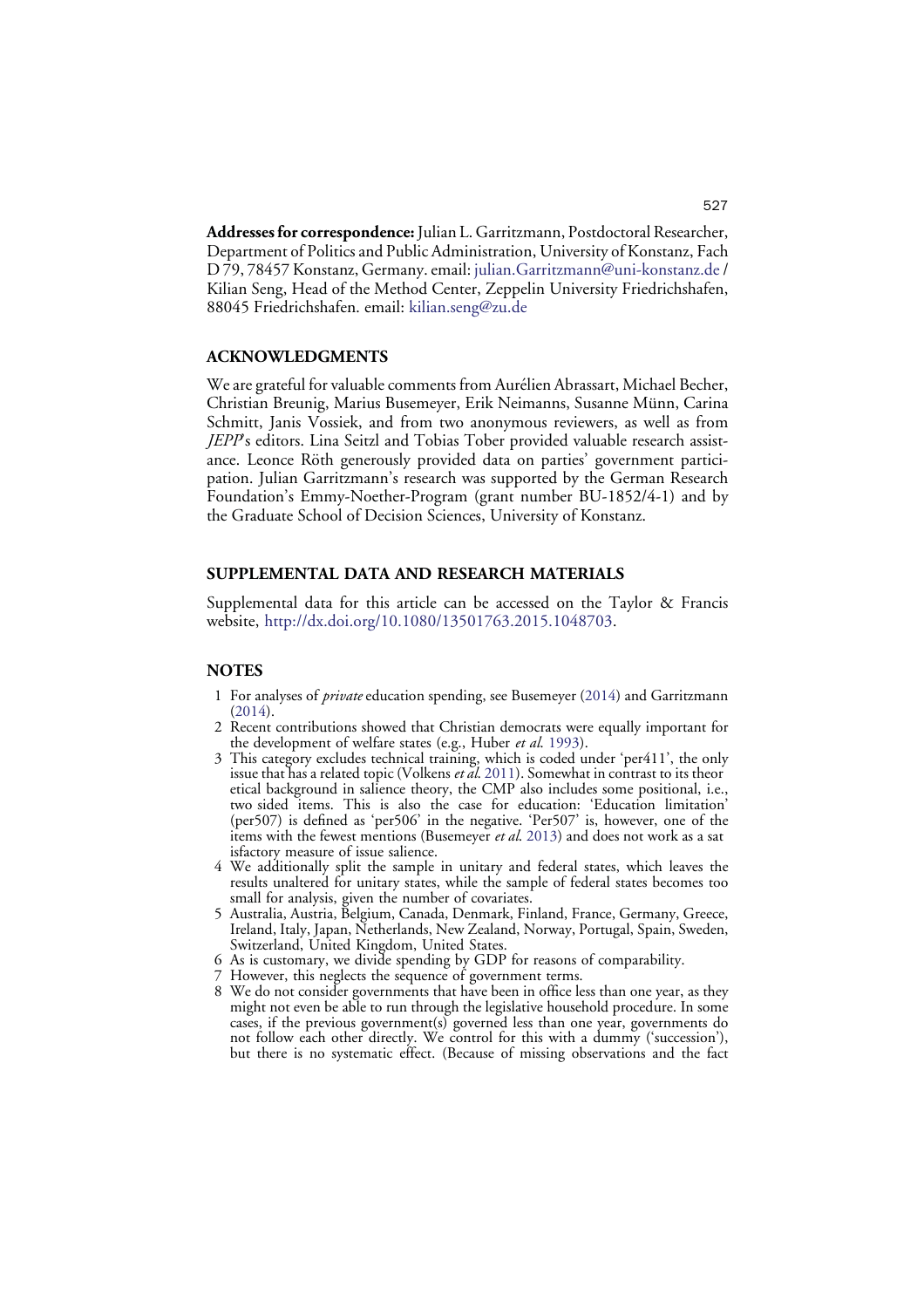Addresses for correspondence: Julian L. Garritzmann, Postdoctoral Researcher, Department of Politics and Public Administration, University of Konstanz, Fach D 79, 78457 Konstanz, Germany. email: julian.Garritzmann@uni-konstanz.de/ Kilian Seng, Head of the Method Center, Zeppelin University Friedrichshafen, 88045 Friedrichshafen. email: kilian.seng@zu.de

## ACKNOWLEDGMENTS

We are grateful for valuable comments from Aurélien Abrassart, Michael Becher, Christian Breunig, Marius Busemeyer, Erik Neimanns, Susanne Münn, Carina Schmitt, Janis Vossiek, and from two anonymous reviewers, as well as from JEPP's editors. Lina Seitzl and Tobias Tober provided valuable research assistance. Leonce Röth generously provided data on parties' government participation. Julian Garritzmann's research was supported by the German Research Foundation's Emmy-Noether-Program (grant number BU-1852/4-1) and by the Graduate School of Decision Sciences, University of Konstanz.

## SUPPLEMENTAL DATA AND RESEARCH MATERIALS

Supplemental data for this article can be accessed on the Taylor & Francis website, http://dx.doi.org/10.1080/13501763.2015.1048703.

## **NOTES**

- 1 For analyses of private education spending, see Busemeyer (2014) and Garritzmann  $(2014)$
- 2 Recent contributions showed that Christian democrats were equally important for the development of welfare states (e.g., Huber et al. 1993).
- 3 This category excludes technical training, which is coded under 'per411', the only issue that has a related topic (Volkens *et al*. 2011). Somewhat in contrast to its theor etical background in salience theory, the CMP also includes some positional, i.e., two sided items. This is also the case for education: 'Education limitation' (per507) is defined as 'per506' in the negative. 'Per507' is, however, one of the items with the fewest mentions (Busemeyer et al. 2013) and does not work as a sat isfactory measure of issue salience.
- 4 We additionally split the sample in unitary and federal states, which leaves the results unaltered for unitary states, while the sample of federal states becomes too small for analysis, given the number of covariates.
- 5 Australia, Austria, Belgium, Canada, Denmark, Finland, France, Germany, Greece, Ireland, Italy, Japan, Netherlands, New Zealand, Norway, Portugal, Spain, Sweden, Switzerland, United Kingdom, United States.
- 6 As is customary, we divide spending by GDP for reasons of comparability.
- 7 However, this neglects the sequence of government terms.<br>8 We do not consider governments that have been in office le
- We do not consider governments that have been in office less than one year, as they might not even be able to run through the legislative household procedure. In some cases, if the previous government(s) governed less than one year, governments do not follow each other directly. We control for this with a dummy ('succession'), but there is no systematic effect. (Because of missing observations and the fact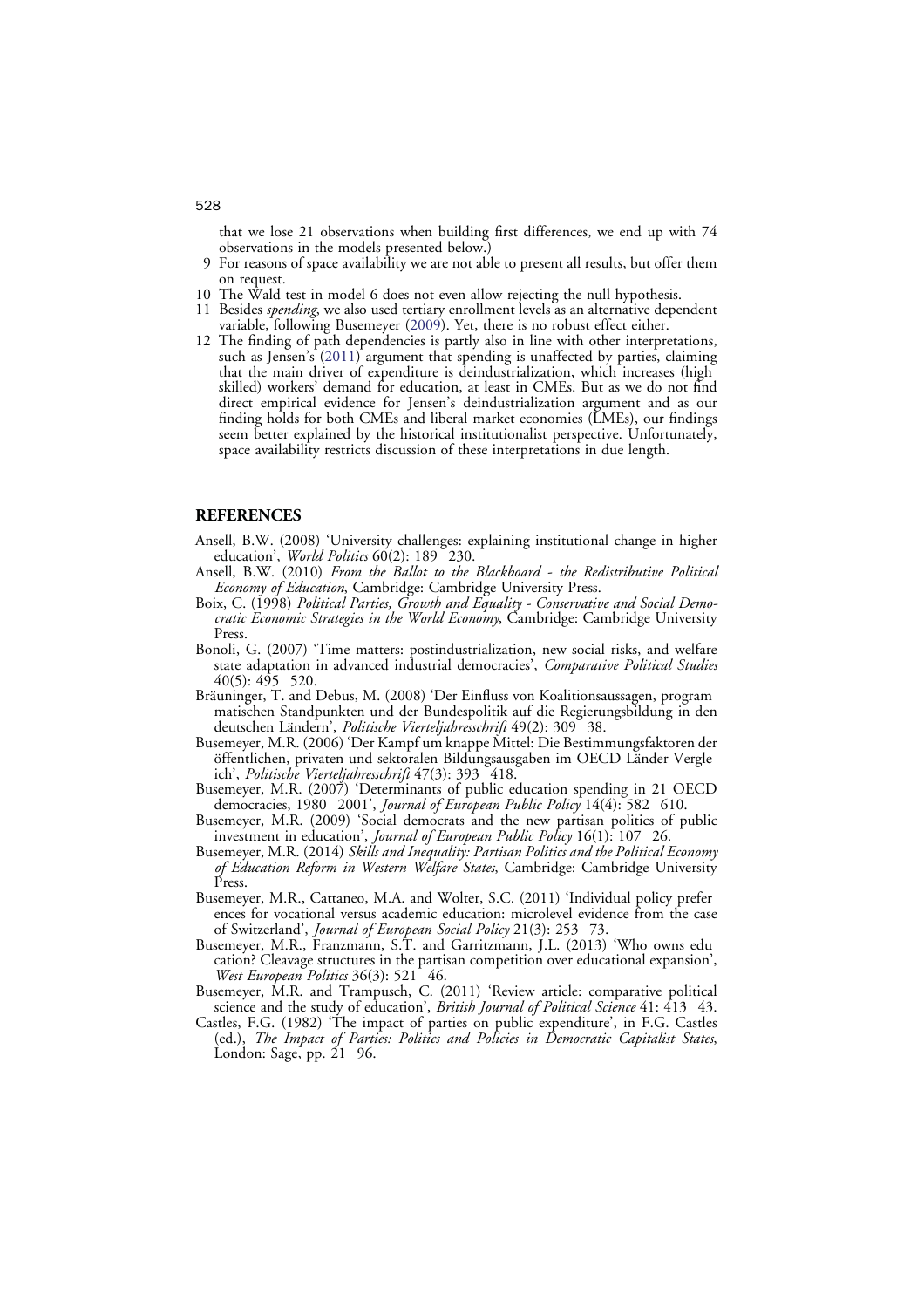that we lose 21 observations when building first differences, we end up with 74 observations in the models presented below.)

- 9 For reasons of space availability we are not able to present all results, but offer them on request.
- 10 The Wald test in model 6 does not even allow rejecting the null hypothesis.
- 11 Besides *spending*, we also used tertiary enrollment levels as an alternative dependent variable, following Busemeyer (2009). Yet, there is no robust effect either.
- 12 The finding of path dependencies is partly also in line with other interpretations, such as Jensen's (2011) argument that spending is unaffected by parties, claiming that the main driver of expenditure is deindustrialization, which increases (high skilled) workers' demand for education, at least in CMEs. But as we do not find direct empirical evidence for Jensen's deindustrialization argument and as our finding holds for both CMEs and liberal market economies (LMEs), our findings seem better explained by the historical institutionalist perspective. Unfortunately, space availability restricts discussion of these interpretations in due length.

#### REFERENCES

- Ansell, B.W. (2008) 'University challenges: explaining institutional change in higher education', World Politics  $60(2)$ : 189  $230$ .
- Ansell, B.W. (2010) From the Ballot to the Blackboard the Redistributive Political Economy of Education, Cambridge: Cambridge University Press.
- Boix, C. (1998) Political Parties, Growth and Equality Conservative and Social Democratic Economic Strategies in the World Economy, Cambridge: Cambridge University Press.
- Bonoli, G. (2007) 'Time matters: postindustrialization, new social risks, and welfare state adaptation in advanced industrial democracies', Comparative Political Studies  $40(5): 495$  520.
- Bräuninger, T. and Debus, M. (2008) 'Der Einfluss von Koalitionsaussagen, program matischen Standpunkten und der Bundespolitik auf die Regierungsbildung in den deutschen Ländern', Politische Vierteljahresschrift 49(2): 309 38.
- Busemeyer, M.R. (2006) 'Der Kampf um knappe Mittel: Die Bestimmungsfaktoren der öffentlichen, privaten und sektoralen Bildungsausgaben im OECD Länder Vergle ich', Politische Vierteljahresschrift 47(3): 393 418.
- Busemeyer, M.R. (2007) 'Determinants of public education spending in 21 OECD democracies, 1980 2001', Journal of European Public Policy 14(4): 582 610.
- Busemeyer, M.R. (2009) 'Social democrats and the new partisan politics of public investment in education', *Journal of European Public Policy* 16(1): 107 26.
- Busemeyer, M.R. (2014) Skills and Inequality: Partisan Politics and the Political Economy of Education Reform in Western Welfare States, Cambridge: Cambridge University Press.
- Busemeyer, M.R., Cattaneo, M.A. and Wolter, S.C. (2011) 'Individual policy prefer ences for vocational versus academic education: microlevel evidence from the case of Switzerland', Journal of European Social Policy 21(3): 253 73.
- Busemeyer, M.R., Franzmann, S.T. and Garritzmann, J.L. (2013) 'Who owns edu cation? Cleavage structures in the partisan competition over educational expansion', West European Politics 36(3): 521 46.
- Busemeyer, M.R. and Trampusch, C. (2011) 'Review article: comparative political science and the study of education', British Journal of Political Science 41: 413 43.
- Castles, F.G. (1982) 'The impact of parties on public expenditure', in F.G. Castles (ed.), The Impact of Parties: Politics and Policies in Democratic Capitalist States, London: Sage, pp. 21 96.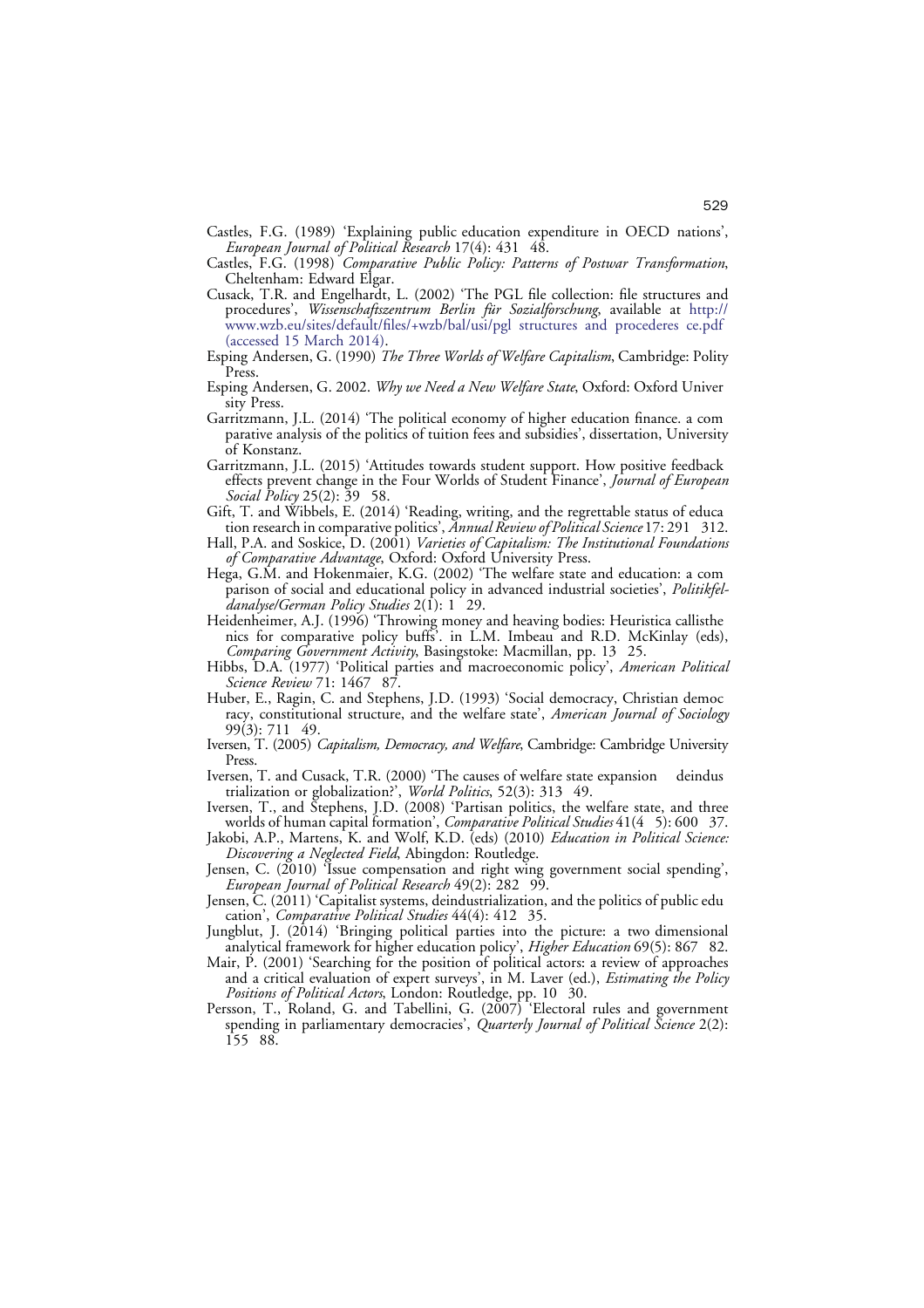- Castles, F.G. (1989) 'Explaining public education expenditure in OECD nations', European Journal of Political Research 17(4): 431 48.
- Castles, F.G. (1998) Comparative Public Policy: Patterns of Postwar Transformation, Cheltenham: Edward Elgar.
- Cusack, T.R. and Engelhardt, L. (2002) 'The PGL file collection: file structures and procedures', Wissenschaftszentrum Berlin für Sozialforschung, available at http:// www.wzb.eu/sites/default/files/+wzb/bal/usi/pgl structures and procederes ce.pdf
- (accessed 15 March 2014).<br>Esping Andersen, G. (1990) *The Three Worlds of Welfare Capitalism*, Cambridge: Polity Press.
- Esping Andersen, G. 2002. Why we Need a New Welfare State, Oxford: Oxford Univer sity Press.
- Garritzmann, J.L. (2014) 'The political economy of higher education finance. a com parative analysis of the politics of tuition fees and subsidies', dissertation, University of Konstanz.
- Garritzmann, J.L. (2015) 'Attitudes towards student support. How positive feedback effects prevent change in the Four Worlds of Student Finance', Journal of European Social Policy 25(2): 39 58.
- Gift, T. and Wibbels, E. (2014) 'Reading, writing, and the regrettable status of educa tion research in comparative politics', Annual Review of Political Science 17: 291 312.
- Hall, P.A. and Soskice, D. (2001) *Varieties of Capitalism: The Institutional Foundations* of Comparative Advantage, Oxford: Oxford University Press.
- Hega, G.M. and Hokenmaier, K.G. (2002) 'The welfare state and education: a com parison of social and educational policy in advanced industrial societies', Politikfel- $\hat{d}$ danalyse/German Policy Studies 2(1): 1 29.
- Heidenheimer, A.J. (1996) 'Throwing money and heaving bodies: Heuristica callisthe nics for comparative policy buffs'. in L.M. Imbeau and R.D. McKinlay (eds), Comparing Government Activity, Basingstoke: Macmillan, pp. 13 25.
- Hibbs, D.A. (1977) 'Political parties and macroeconomic policy', American Political Science Review 71: 1467 87.
- Huber, E., Ragin, C. and Stephens, J.D. (1993) 'Social democracy, Christian democ racy, constitutional structure, and the welfare state', American Journal of Sociology 99(3): 711 49.
- Iversen, T. (2005) Capitalism, Democracy, and Welfare, Cambridge: Cambridge University Press.
- Iversen, T. and Cusack, T.R. (2000) 'The causes of welfare state expansion deindus trialization or globalization?', World Politics, 52(3): 313 49.
- Iversen, T., and Stephens, J.D. (2008) 'Partisan politics, the welfare state, and three worlds of human capital formation', *Comparative Political Studies* 41(4 5): 600 37.
- Jakobi, A.P., Martens, K. and Wolf, K.D. (eds) (2010) Education in Political Science: Discovering a Neglected Field, Abingdon: Routledge.
- Jensen, C. (2010) 'Issue compensation and right wing government social spending', European Journal of Political Research 49(2): 282 99.
- Jensen, C. (2011) 'Capitalist systems, deindustrialization, and the politics of public edu cation', Comparative Political Studies 44(4): 412 35.
- Jungblut, J. (2014) 'Bringing political parties into the picture: a two dimensional analytical framework for higher education policy', Higher Education 69(5): 867 82.
- Mair, P. (2001) 'Searching for the position of political actors: a review of approaches and a critical evaluation of expert surveys', in M. Laver (ed.), *Estimating the Policy* Positions of Political Actors, London: Routledge, pp. 10 30.
- Persson, T., Roland, G. and Tabellini, G. (2007) 'Electoral rules and government spending in parliamentary democracies', Quarterly Journal of Political Science 2(2): 155 88.